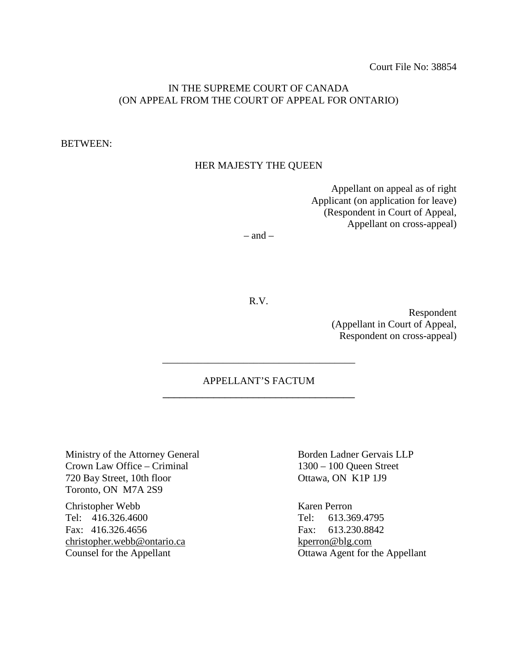# IN THE SUPREME COURT OF CANADA (ON APPEAL FROM THE COURT OF APPEAL FOR ONTARIO)

#### BETWEEN:

#### HER MAJESTY THE QUEEN

Appellant on appeal as of right Applicant (on application for leave) (Respondent in Court of Appeal, Appellant on cross-appeal)

 $-$  and  $-$ 

R.V.

Respondent (Appellant in Court of Appeal, Respondent on cross-appeal)

# APPELLANT'S FACTUM \_\_\_\_\_\_\_\_\_\_\_\_\_\_\_\_\_\_\_\_\_\_\_\_\_\_\_\_\_\_\_\_\_\_

\_\_\_\_\_\_\_\_\_\_\_\_\_\_\_\_\_\_\_\_\_\_\_\_\_\_\_\_\_\_\_\_\_\_\_\_\_\_

Ministry of the Attorney General Crown Law Office – Criminal 720 Bay Street, 10th floor Toronto, ON M7A 2S9

Christopher Webb Tel: 416.326.4600 Fax: 416.326.4656 christopher.webb@ontario.ca Counsel for the Appellant

Borden Ladner Gervais LLP 1300 – 100 Queen Street Ottawa, ON K1P 1J9

Karen Perron Tel: 613.369.4795 Fax: 613.230.8842 kperron@blg.com Ottawa Agent for the Appellant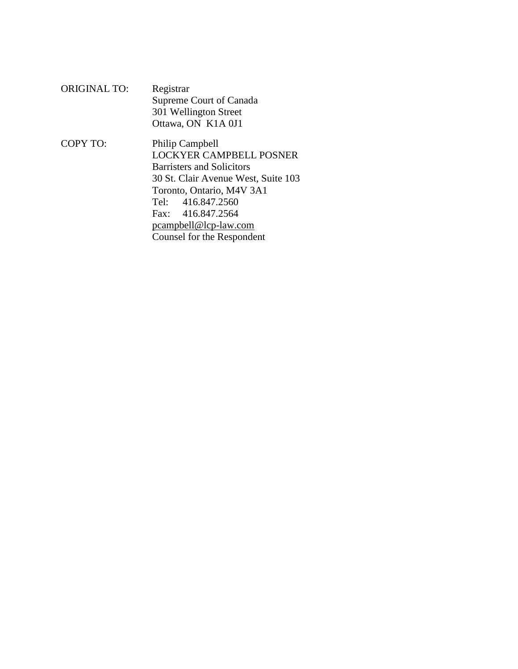ORIGINAL TO: Registrar Supreme Court of Canada 301 Wellington Street Ottawa, ON K1A 0J1

COPY TO: Philip Campbell LOCKYER CAMPBELL POSNER Barristers and Solicitors 30 St. Clair Avenue West, Suite 103 Toronto, Ontario, M4V 3A1 Tel: 416.847.2560 Fax: 416.847.2564 pcampbell@lcp-law.com Counsel for the Respondent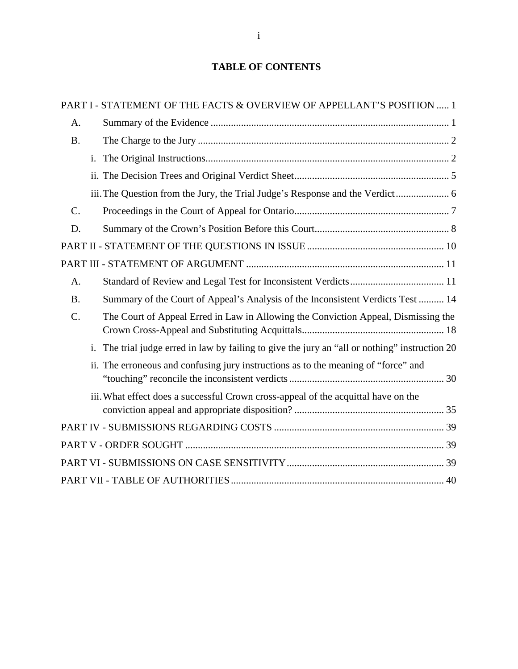# **TABLE OF CONTENTS**

|           |                | PART I - STATEMENT OF THE FACTS & OVERVIEW OF APPELLANT'S POSITION  1                       |
|-----------|----------------|---------------------------------------------------------------------------------------------|
| A.        |                |                                                                                             |
| <b>B.</b> |                |                                                                                             |
|           |                |                                                                                             |
|           |                |                                                                                             |
|           |                | iii. The Question from the Jury, the Trial Judge's Response and the Verdict                 |
| C.        |                |                                                                                             |
| D.        |                |                                                                                             |
|           |                |                                                                                             |
|           |                |                                                                                             |
| A.        |                |                                                                                             |
| <b>B.</b> |                | Summary of the Court of Appeal's Analysis of the Inconsistent Verdicts Test  14             |
| $C$ .     |                | The Court of Appeal Erred in Law in Allowing the Conviction Appeal, Dismissing the          |
|           | $\mathbf{i}$ . | The trial judge erred in law by failing to give the jury an "all or nothing" instruction 20 |
|           |                | ii. The erroneous and confusing jury instructions as to the meaning of "force" and          |
|           |                | iii. What effect does a successful Crown cross-appeal of the acquittal have on the          |
|           |                |                                                                                             |
|           |                |                                                                                             |
|           |                |                                                                                             |
|           |                |                                                                                             |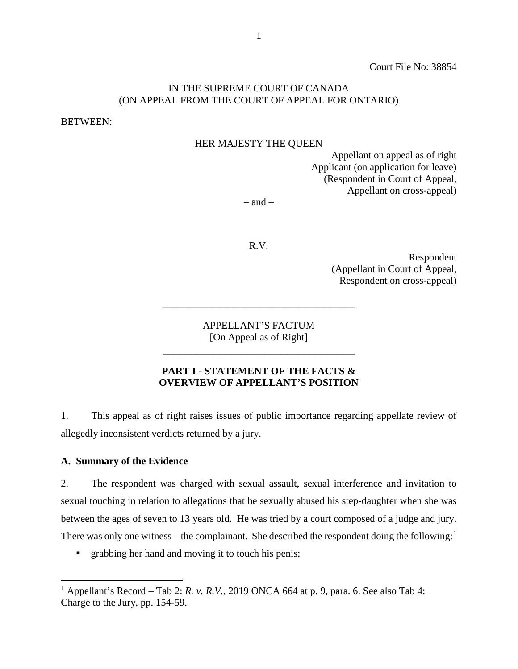Court File No: 38854

# IN THE SUPREME COURT OF CANADA (ON APPEAL FROM THE COURT OF APPEAL FOR ONTARIO)

BETWEEN:

#### HER MAJESTY THE QUEEN

Appellant on appeal as of right Applicant (on application for leave) (Respondent in Court of Appeal, Appellant on cross-appeal)

 $-$  and  $-$ 

R.V.

Respondent (Appellant in Court of Appeal, Respondent on cross-appeal)

APPELLANT'S FACTUM [On Appeal as of Right]

\_\_\_\_\_\_\_\_\_\_\_\_\_\_\_\_\_\_\_\_\_\_\_\_\_\_\_\_\_\_\_\_\_\_

\_\_\_\_\_\_\_\_\_\_\_\_\_\_\_\_\_\_\_\_\_\_\_\_\_\_\_\_\_\_\_\_\_\_\_\_\_\_

#### **PART I - STATEMENT OF THE FACTS & OVERVIEW OF APPELLANT'S POSITION**

<span id="page-3-0"></span>1. This appeal as of right raises issues of public importance regarding appellate review of allegedly inconsistent verdicts returned by a jury.

#### <span id="page-3-1"></span>**A. Summary of the Evidence**

2. The respondent was charged with sexual assault, sexual interference and invitation to sexual touching in relation to allegations that he sexually abused his step-daughter when she was between the ages of seven to 13 years old. He was tried by a court composed of a judge and jury. There was only one witness – the complainant. She described the respondent doing the following:<sup>[1](#page-3-2)</sup>

**F** grabbing her hand and moving it to touch his penis;

<span id="page-3-2"></span><sup>&</sup>lt;sup>1</sup> Appellant's Record – Tab 2: *R. v. R.V.*, 2019 ONCA 664 at p. 9, para. 6. See also Tab 4: Charge to the Jury, pp. 154-59.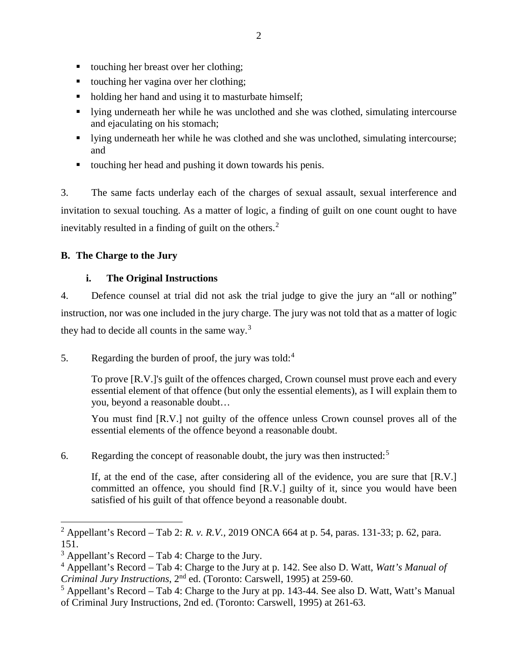- touching her breast over her clothing;
- touching her vagina over her clothing;
- holding her hand and using it to masturbate himself;
- I lying underneath her while he was unclothed and she was clothed, simulating intercourse and ejaculating on his stomach;
- I lying underneath her while he was clothed and she was unclothed, simulating intercourse; and
- touching her head and pushing it down towards his penis.

3. The same facts underlay each of the charges of sexual assault, sexual interference and invitation to sexual touching. As a matter of logic, a finding of guilt on one count ought to have inevitably resulted in a finding of guilt on the others. $<sup>2</sup>$  $<sup>2</sup>$  $<sup>2</sup>$ </sup>

# <span id="page-4-0"></span>**B. The Charge to the Jury**

# **i. The Original Instructions**

<span id="page-4-1"></span>4. Defence counsel at trial did not ask the trial judge to give the jury an "all or nothing" instruction, nor was one included in the jury charge. The jury was not told that as a matter of logic they had to decide all counts in the same way.[3](#page-4-3)

5. Regarding the burden of proof, the jury was told: $4$ 

To prove [R.V.]'s guilt of the offences charged, Crown counsel must prove each and every essential element of that offence (but only the essential elements), as I will explain them to you, beyond a reasonable doubt…

You must find [R.V.] not guilty of the offence unless Crown counsel proves all of the essential elements of the offence beyond a reasonable doubt.

6. Regarding the concept of reasonable doubt, the jury was then instructed:<sup>[5](#page-4-5)</sup>

If, at the end of the case, after considering all of the evidence, you are sure that [R.V.] committed an offence, you should find [R.V.] guilty of it, since you would have been satisfied of his guilt of that offence beyond a reasonable doubt.

<span id="page-4-2"></span><sup>2</sup> Appellant's Record – Tab 2: *R. v. R.V.,* 2019 ONCA 664 at p. 54, paras. 131-33; p. 62, para. 151.

<span id="page-4-3"></span> $3$  Appellant's Record – Tab 4: Charge to the Jury.

<span id="page-4-4"></span><sup>4</sup> Appellant's Record – Tab 4: Charge to the Jury at p. 142. See also D. Watt, *Watt's Manual of Criminal Jury Instructions*, 2nd ed. (Toronto: Carswell, 1995) at 259-60.

<span id="page-4-5"></span> $<sup>5</sup>$  Appellant's Record – Tab 4: Charge to the Jury at pp. 143-44. See also D. Watt, Watt's Manual</sup> of Criminal Jury Instructions, 2nd ed. (Toronto: Carswell, 1995) at 261-63.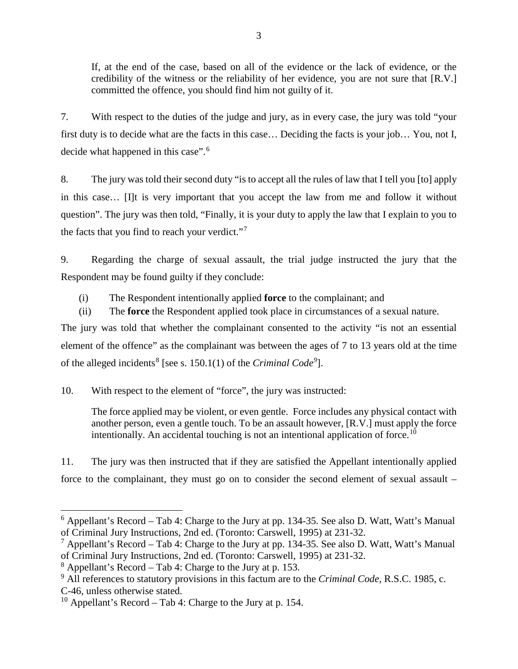If, at the end of the case, based on all of the evidence or the lack of evidence, or the credibility of the witness or the reliability of her evidence, you are not sure that [R.V.] committed the offence, you should find him not guilty of it.

7. With respect to the duties of the judge and jury, as in every case, the jury was told "your first duty is to decide what are the facts in this case… Deciding the facts is your job… You, not I, decide what happened in this case".<sup>[6](#page-5-0)</sup>

8. The jury was told their second duty "is to accept all the rules of law that I tell you [to] apply in this case… [I]t is very important that you accept the law from me and follow it without question". The jury was then told, "Finally, it is your duty to apply the law that I explain to you to the facts that you find to reach your verdict."[7](#page-5-1)

9. Regarding the charge of sexual assault, the trial judge instructed the jury that the Respondent may be found guilty if they conclude:

(i) The Respondent intentionally applied **force** to the complainant; and

(ii) The **force** the Respondent applied took place in circumstances of a sexual nature. The jury was told that whether the complainant consented to the activity "is not an essential element of the offence" as the complainant was between the ages of 7 to 13 years old at the time

of the alleged incidents<sup>[8](#page-5-2)</sup> [see s. 150.1(1) of the *Criminal Code<sup>[9](#page-5-3)</sup>*].

10. With respect to the element of "force", the jury was instructed:

The force applied may be violent, or even gentle. Force includes any physical contact with another person, even a gentle touch. To be an assault however, [R.V.] must apply the force intentionally. An accidental touching is not an intentional application of force.<sup>[10](#page-5-4)</sup>

11. The jury was then instructed that if they are satisfied the Appellant intentionally applied force to the complainant, they must go on to consider the second element of sexual assault –

<span id="page-5-0"></span> $6$  Appellant's Record – Tab 4: Charge to the Jury at pp. 134-35. See also D. Watt, Watt's Manual of Criminal Jury Instructions, 2nd ed. (Toronto: Carswell, 1995) at 231-32.

<span id="page-5-1"></span><sup>&</sup>lt;sup>7</sup> Appellant's Record – Tab 4: Charge to the Jury at pp. 134-35. See also D. Watt, Watt's Manual of Criminal Jury Instructions, 2nd ed. (Toronto: Carswell, 1995) at 231-32.

<span id="page-5-2"></span> $8$  Appellant's Record – Tab 4: Charge to the Jury at p. 153.

<span id="page-5-3"></span><sup>9</sup> All references to statutory provisions in this factum are to the *Criminal Code*, R.S.C. 1985, c. C-46, unless otherwise stated.

<span id="page-5-4"></span><sup>&</sup>lt;sup>10</sup> Appellant's Record – Tab 4: Charge to the Jury at p. 154.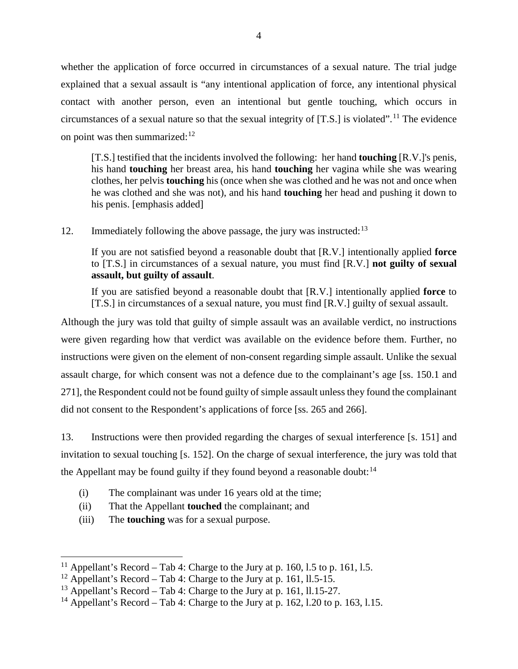whether the application of force occurred in circumstances of a sexual nature. The trial judge explained that a sexual assault is "any intentional application of force, any intentional physical contact with another person, even an intentional but gentle touching, which occurs in circumstances of a sexual nature so that the sexual integrity of  $[T.S.]$  is violated".<sup>[11](#page-6-0)</sup> The evidence on point was then summarized: $12$ 

[T.S.] testified that the incidents involved the following: her hand **touching** [R.V.]'s penis, his hand **touching** her breast area, his hand **touching** her vagina while she was wearing clothes, her pelvis **touching** his (once when she was clothed and he was not and once when he was clothed and she was not), and his hand **touching** her head and pushing it down to his penis. [emphasis added]

12. Immediately following the above passage, the jury was instructed:  $13$ 

If you are not satisfied beyond a reasonable doubt that [R.V.] intentionally applied **force** to [T.S.] in circumstances of a sexual nature, you must find [R.V.] **not guilty of sexual assault, but guilty of assault**.

If you are satisfied beyond a reasonable doubt that [R.V.] intentionally applied **force** to [T.S.] in circumstances of a sexual nature, you must find [R.V.] guilty of sexual assault.

Although the jury was told that guilty of simple assault was an available verdict, no instructions were given regarding how that verdict was available on the evidence before them. Further, no instructions were given on the element of non-consent regarding simple assault. Unlike the sexual assault charge, for which consent was not a defence due to the complainant's age [ss. 150.1 and 271], the Respondent could not be found guilty of simple assault unless they found the complainant did not consent to the Respondent's applications of force [ss. 265 and 266].

13. Instructions were then provided regarding the charges of sexual interference [s. 151] and invitation to sexual touching [s. 152]. On the charge of sexual interference, the jury was told that the Appellant may be found guilty if they found beyond a reasonable doubt: $14$ 

- (i) The complainant was under 16 years old at the time;
- (ii) That the Appellant **touched** the complainant; and
- (iii) The **touching** was for a sexual purpose.

<span id="page-6-0"></span><sup>&</sup>lt;sup>11</sup> Appellant's Record – Tab 4: Charge to the Jury at p. 160, 1.5 to p. 161, 1.5.

<span id="page-6-1"></span><sup>&</sup>lt;sup>12</sup> Appellant's Record – Tab 4: Charge to the Jury at p. 161, 11.5-15.

<span id="page-6-2"></span><sup>&</sup>lt;sup>13</sup> Appellant's Record – Tab 4: Charge to the Jury at p. 161, 11.15-27.

<span id="page-6-3"></span><sup>&</sup>lt;sup>14</sup> Appellant's Record – Tab 4: Charge to the Jury at p. 162, 1.20 to p. 163, 1.15.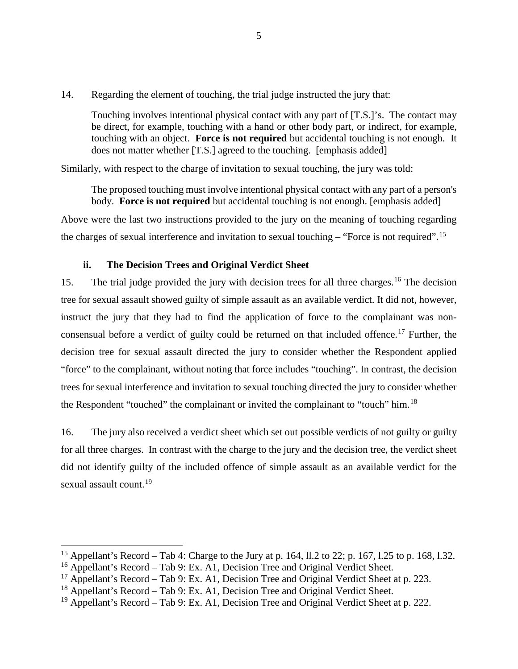14. Regarding the element of touching, the trial judge instructed the jury that:

Touching involves intentional physical contact with any part of [T.S.]'s. The contact may be direct, for example, touching with a hand or other body part, or indirect, for example, touching with an object. **Force is not required** but accidental touching is not enough. It does not matter whether [T.S.] agreed to the touching. [emphasis added]

Similarly, with respect to the charge of invitation to sexual touching, the jury was told:

The proposed touching must involve intentional physical contact with any part of a person's body. **Force is not required** but accidental touching is not enough. [emphasis added]

Above were the last two instructions provided to the jury on the meaning of touching regarding the charges of sexual interference and invitation to sexual touching – "Force is not required".<sup>[15](#page-7-1)</sup>

# **ii. The Decision Trees and Original Verdict Sheet**

<span id="page-7-0"></span>15. The trial judge provided the jury with decision trees for all three charges.<sup>[16](#page-7-2)</sup> The decision tree for sexual assault showed guilty of simple assault as an available verdict. It did not, however, instruct the jury that they had to find the application of force to the complainant was non-consensual before a verdict of guilty could be returned on that included offence.<sup>[17](#page-7-3)</sup> Further, the decision tree for sexual assault directed the jury to consider whether the Respondent applied "force" to the complainant, without noting that force includes "touching". In contrast, the decision trees for sexual interference and invitation to sexual touching directed the jury to consider whether the Respondent "touched" the complainant or invited the complainant to "touch" him.<sup>[18](#page-7-4)</sup>

16. The jury also received a verdict sheet which set out possible verdicts of not guilty or guilty for all three charges. In contrast with the charge to the jury and the decision tree, the verdict sheet did not identify guilty of the included offence of simple assault as an available verdict for the sexual assault count.<sup>[19](#page-7-5)</sup>

<span id="page-7-1"></span><sup>&</sup>lt;sup>15</sup> Appellant's Record – Tab 4: Charge to the Jury at p. 164, 11.2 to 22; p. 167, 1.25 to p. 168, 1.32.

<span id="page-7-2"></span> $16$  Appellant's Record – Tab 9: Ex. A1, Decision Tree and Original Verdict Sheet.

<span id="page-7-3"></span><sup>&</sup>lt;sup>17</sup> Appellant's Record – Tab 9: Ex. A1, Decision Tree and Original Verdict Sheet at p. 223.

<span id="page-7-4"></span> $18$  Appellant's Record – Tab 9: Ex. A1, Decision Tree and Original Verdict Sheet.

<span id="page-7-5"></span><sup>&</sup>lt;sup>19</sup> Appellant's Record – Tab 9: Ex. A1, Decision Tree and Original Verdict Sheet at p. 222.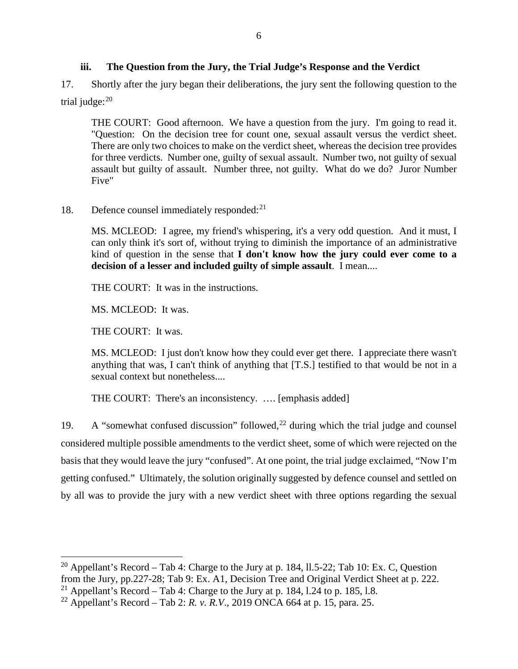# **iii. The Question from the Jury, the Trial Judge's Response and the Verdict**

<span id="page-8-0"></span>17. Shortly after the jury began their deliberations, the jury sent the following question to the trial judge:<sup>[20](#page-8-1)</sup>

THE COURT: Good afternoon. We have a question from the jury. I'm going to read it. "Question: On the decision tree for count one, sexual assault versus the verdict sheet. There are only two choices to make on the verdict sheet, whereas the decision tree provides for three verdicts. Number one, guilty of sexual assault. Number two, not guilty of sexual assault but guilty of assault. Number three, not guilty. What do we do? Juror Number Five"

# 18. Defence counsel immediately responded:<sup>[21](#page-8-2)</sup>

MS. MCLEOD: I agree, my friend's whispering, it's a very odd question. And it must, I can only think it's sort of, without trying to diminish the importance of an administrative kind of question in the sense that **I don't know how the jury could ever come to a decision of a lesser and included guilty of simple assault**. I mean....

THE COURT: It was in the instructions.

MS. MCLEOD: It was.

THE COURT: It was.

MS. MCLEOD: I just don't know how they could ever get there. I appreciate there wasn't anything that was, I can't think of anything that [T.S.] testified to that would be not in a sexual context but nonetheless....

THE COURT: There's an inconsistency. …. [emphasis added]

19. A "somewhat confused discussion" followed,  $^{22}$  $^{22}$  $^{22}$  during which the trial judge and counsel considered multiple possible amendments to the verdict sheet, some of which were rejected on the basis that they would leave the jury "confused". At one point, the trial judge exclaimed, "Now I'm getting confused." Ultimately, the solution originally suggested by defence counsel and settled on by all was to provide the jury with a new verdict sheet with three options regarding the sexual

<span id="page-8-1"></span><sup>&</sup>lt;sup>20</sup> Appellant's Record – Tab 4: Charge to the Jury at p. 184, 11.5-22; Tab 10: Ex. C, Question from the Jury, pp.227-28; Tab 9: Ex. A1, Decision Tree and Original Verdict Sheet at p. 222.

<span id="page-8-2"></span><sup>&</sup>lt;sup>21</sup> Appellant's Record – Tab 4: Charge to the Jury at p. 184, 1.24 to p. 185, 1.8.

<span id="page-8-3"></span><sup>&</sup>lt;sup>22</sup> Appellant's Record – Tab 2: *R. v. R.V.*, 2019 ONCA 664 at p. 15, para. 25.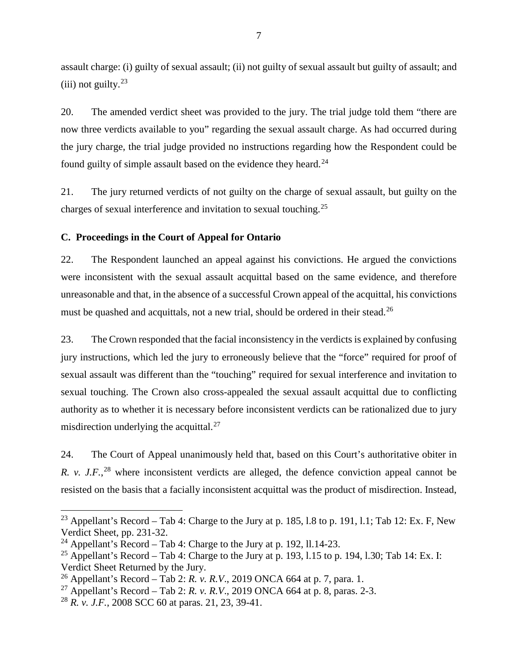assault charge: (i) guilty of sexual assault; (ii) not guilty of sexual assault but guilty of assault; and (iii) not guilty. $23$ 

20. The amended verdict sheet was provided to the jury. The trial judge told them "there are now three verdicts available to you" regarding the sexual assault charge. As had occurred during the jury charge, the trial judge provided no instructions regarding how the Respondent could be found guilty of simple assault based on the evidence they heard.<sup>[24](#page-9-2)</sup>

21. The jury returned verdicts of not guilty on the charge of sexual assault, but guilty on the charges of sexual interference and invitation to sexual touching.[25](#page-9-3)

#### <span id="page-9-0"></span>**C. Proceedings in the Court of Appeal for Ontario**

22. The Respondent launched an appeal against his convictions. He argued the convictions were inconsistent with the sexual assault acquittal based on the same evidence, and therefore unreasonable and that, in the absence of a successful Crown appeal of the acquittal, his convictions must be quashed and acquittals, not a new trial, should be ordered in their stead.<sup>[26](#page-9-4)</sup>

23. The Crown responded that the facial inconsistency in the verdicts is explained by confusing jury instructions, which led the jury to erroneously believe that the "force" required for proof of sexual assault was different than the "touching" required for sexual interference and invitation to sexual touching. The Crown also cross-appealed the sexual assault acquittal due to conflicting authority as to whether it is necessary before inconsistent verdicts can be rationalized due to jury misdirection underlying the acquittal. $27$ 

24. The Court of Appeal unanimously held that, based on this Court's authoritative obiter in *R. v. J.F.*,<sup>[28](#page-9-6)</sup> where inconsistent verdicts are alleged, the defence conviction appeal cannot be resisted on the basis that a facially inconsistent acquittal was the product of misdirection. Instead,

<span id="page-9-1"></span><sup>&</sup>lt;sup>23</sup> Appellant's Record – Tab 4: Charge to the Jury at p. 185, 1.8 to p. 191, 1.1; Tab 12: Ex. F, New Verdict Sheet, pp. 231-32.

<span id="page-9-2"></span><sup>&</sup>lt;sup>24</sup> Appellant's Record – Tab 4: Charge to the Jury at p. 192, 11.14-23.

<span id="page-9-3"></span><sup>&</sup>lt;sup>25</sup> Appellant's Record – Tab 4: Charge to the Jury at p. 193, 1.15 to p. 194, 1.30; Tab 14: Ex. I: Verdict Sheet Returned by the Jury.

<span id="page-9-4"></span><sup>26</sup> Appellant's Record – Tab 2: *R. v. R.V*., 2019 ONCA 664 at p. 7, para. 1.

<span id="page-9-5"></span><sup>&</sup>lt;sup>27</sup> Appellant's Record – Tab 2: *R. v. R.V.*, 2019 ONCA 664 at p. 8, paras. 2-3.

<span id="page-9-6"></span><sup>28</sup> *R. v. J.F.*, 2008 SCC 60 at paras. 21, 23, 39-41.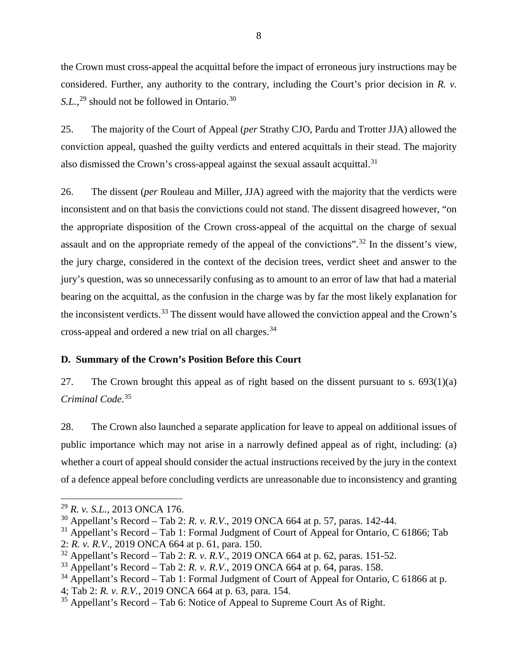the Crown must cross-appeal the acquittal before the impact of erroneous jury instructions may be considered. Further, any authority to the contrary, including the Court's prior decision in *R. v.*  S.L.,<sup>[29](#page-10-1)</sup> should not be followed in Ontario.<sup>[30](#page-10-2)</sup>

25. The majority of the Court of Appeal (*per* Strathy CJO, Pardu and Trotter JJA) allowed the conviction appeal, quashed the guilty verdicts and entered acquittals in their stead. The majority also dismissed the Crown's cross-appeal against the sexual assault acquittal.<sup>[31](#page-10-3)</sup>

26. The dissent (*per* Rouleau and Miller, JJA) agreed with the majority that the verdicts were inconsistent and on that basis the convictions could not stand. The dissent disagreed however, "on the appropriate disposition of the Crown cross-appeal of the acquittal on the charge of sexual assault and on the appropriate remedy of the appeal of the convictions".[32](#page-10-4) In the dissent's view, the jury charge, considered in the context of the decision trees, verdict sheet and answer to the jury's question, was so unnecessarily confusing as to amount to an error of law that had a material bearing on the acquittal, as the confusion in the charge was by far the most likely explanation for the inconsistent verdicts.<sup>[33](#page-10-5)</sup> The dissent would have allowed the conviction appeal and the Crown's cross-appeal and ordered a new trial on all charges.[34](#page-10-6)

# <span id="page-10-0"></span>**D. Summary of the Crown's Position Before this Court**

27. The Crown brought this appeal as of right based on the dissent pursuant to s.  $693(1)(a)$ *Criminal Code*. [35](#page-10-7)

28. The Crown also launched a separate application for leave to appeal on additional issues of public importance which may not arise in a narrowly defined appeal as of right, including: (a) whether a court of appeal should consider the actual instructions received by the jury in the context of a defence appeal before concluding verdicts are unreasonable due to inconsistency and granting

<span id="page-10-1"></span><sup>29</sup> *R. v. S.L.*, 2013 ONCA 176.

<span id="page-10-2"></span><sup>30</sup> Appellant's Record – Tab 2: *R. v. R.V*., 2019 ONCA 664 at p. 57, paras. 142-44.

<span id="page-10-3"></span> $31$  Appellant's Record – Tab 1: Formal Judgment of Court of Appeal for Ontario, C 61866; Tab

<sup>2:</sup> *R. v. R.V*., 2019 ONCA 664 at p. 61, para. 150.

<span id="page-10-4"></span><sup>32</sup> Appellant's Record – Tab 2: *R. v. R.V*., 2019 ONCA 664 at p. 62, paras. 151-52.

<span id="page-10-5"></span><sup>33</sup> Appellant's Record – Tab 2: *R. v. R.V*., 2019 ONCA 664 at p. 64, paras. 158.

<span id="page-10-6"></span> $34$  Appellant's Record – Tab 1: Formal Judgment of Court of Appeal for Ontario, C 61866 at p.

<sup>4;</sup> Tab 2: *R. v. R.V.*, 2019 ONCA 664 at p. 63, para. 154.

<span id="page-10-7"></span> $35$  Appellant's Record – Tab 6: Notice of Appeal to Supreme Court As of Right.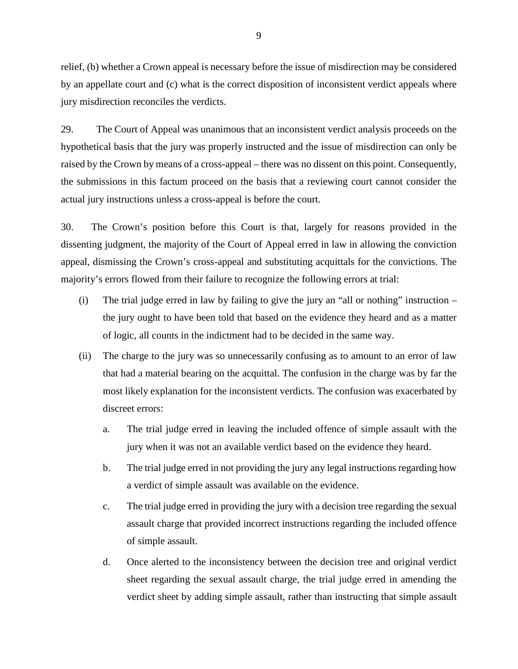relief, (b) whether a Crown appeal is necessary before the issue of misdirection may be considered by an appellate court and (c) what is the correct disposition of inconsistent verdict appeals where jury misdirection reconciles the verdicts.

29. The Court of Appeal was unanimous that an inconsistent verdict analysis proceeds on the hypothetical basis that the jury was properly instructed and the issue of misdirection can only be raised by the Crown by means of a cross-appeal – there was no dissent on this point. Consequently, the submissions in this factum proceed on the basis that a reviewing court cannot consider the actual jury instructions unless a cross-appeal is before the court.

30. The Crown's position before this Court is that, largely for reasons provided in the dissenting judgment, the majority of the Court of Appeal erred in law in allowing the conviction appeal, dismissing the Crown's cross-appeal and substituting acquittals for the convictions. The majority's errors flowed from their failure to recognize the following errors at trial:

- (i) The trial judge erred in law by failing to give the jury an "all or nothing" instruction the jury ought to have been told that based on the evidence they heard and as a matter of logic, all counts in the indictment had to be decided in the same way.
- (ii) The charge to the jury was so unnecessarily confusing as to amount to an error of law that had a material bearing on the acquittal. The confusion in the charge was by far the most likely explanation for the inconsistent verdicts. The confusion was exacerbated by discreet errors:
	- a. The trial judge erred in leaving the included offence of simple assault with the jury when it was not an available verdict based on the evidence they heard.
	- b. The trial judge erred in not providing the jury any legal instructions regarding how a verdict of simple assault was available on the evidence.
	- c. The trial judge erred in providing the jury with a decision tree regarding the sexual assault charge that provided incorrect instructions regarding the included offence of simple assault.
	- d. Once alerted to the inconsistency between the decision tree and original verdict sheet regarding the sexual assault charge, the trial judge erred in amending the verdict sheet by adding simple assault, rather than instructing that simple assault

9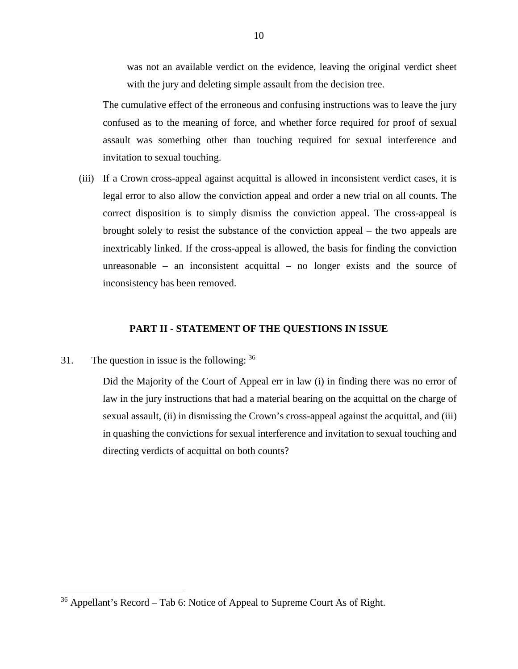was not an available verdict on the evidence, leaving the original verdict sheet with the jury and deleting simple assault from the decision tree.

The cumulative effect of the erroneous and confusing instructions was to leave the jury confused as to the meaning of force, and whether force required for proof of sexual assault was something other than touching required for sexual interference and invitation to sexual touching.

(iii) If a Crown cross-appeal against acquittal is allowed in inconsistent verdict cases, it is legal error to also allow the conviction appeal and order a new trial on all counts. The correct disposition is to simply dismiss the conviction appeal. The cross-appeal is brought solely to resist the substance of the conviction appeal – the two appeals are inextricably linked. If the cross-appeal is allowed, the basis for finding the conviction unreasonable – an inconsistent acquittal – no longer exists and the source of inconsistency has been removed.

#### **PART II - STATEMENT OF THE QUESTIONS IN ISSUE**

<span id="page-12-0"></span>31. The question in issue is the following:  $36$ 

Did the Majority of the Court of Appeal err in law (i) in finding there was no error of law in the jury instructions that had a material bearing on the acquittal on the charge of sexual assault, (ii) in dismissing the Crown's cross-appeal against the acquittal, and (iii) in quashing the convictions for sexual interference and invitation to sexual touching and directing verdicts of acquittal on both counts?

<span id="page-12-1"></span> $36$  Appellant's Record – Tab 6: Notice of Appeal to Supreme Court As of Right.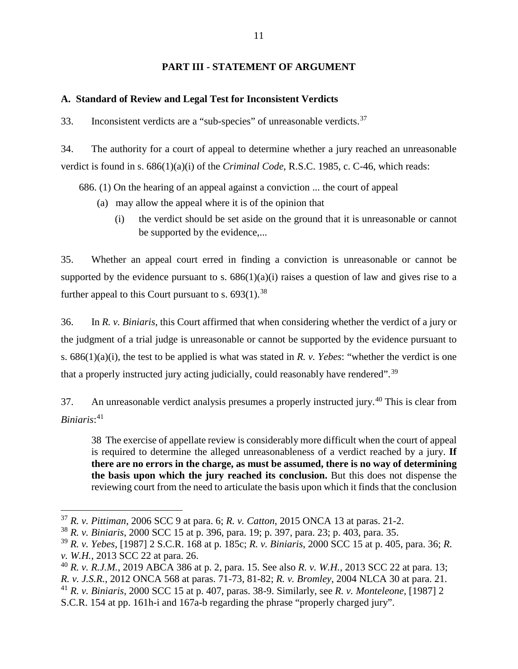## **PART III - STATEMENT OF ARGUMENT**

# <span id="page-13-1"></span><span id="page-13-0"></span>**A. Standard of Review and Legal Test for Inconsistent Verdicts**

33. Inconsistent verdicts are a "sub-species" of unreasonable verdicts.<sup>[37](#page-13-2)</sup>

34. The authority for a court of appeal to determine whether a jury reached an unreasonable verdict is found in s. 686(1)(a)(i) of the *Criminal Code*, R.S.C. 1985, c. C-46, which reads:

686. (1) On the hearing of an appeal against a conviction ... the court of appeal

- (a) may allow the appeal where it is of the opinion that
	- (i) the verdict should be set aside on the ground that it is unreasonable or cannot be supported by the evidence,...

35. Whether an appeal court erred in finding a conviction is unreasonable or cannot be supported by the evidence pursuant to s.  $686(1)(a)(i)$  raises a question of law and gives rise to a further appeal to this Court pursuant to s.  $693(1).$ <sup>[38](#page-13-3)</sup>

36. In *R. v. Biniaris*, this Court affirmed that when considering whether the verdict of a jury or the judgment of a trial judge is unreasonable or cannot be supported by the evidence pursuant to s. 686(1)(a)(i), the test to be applied is what was stated in *R. v. Yebes*: "whether the verdict is one that a properly instructed jury acting judicially, could reasonably have rendered".[39](#page-13-4)

37. An unreasonable verdict analysis presumes a properly instructed jury.<sup>[40](#page-13-5)</sup> This is clear from *Biniaris*: [41](#page-13-6)

38 The exercise of appellate review is considerably more difficult when the court of appeal is required to determine the alleged unreasonableness of a verdict reached by a jury. **If there are no errors in the charge, as must be assumed, there is no way of determining the basis upon which the jury reached its conclusion.** But this does not dispense the reviewing court from the need to articulate the basis upon which it finds that the conclusion

<span id="page-13-6"></span><sup>41</sup> *R. v. Biniaris*, 2000 SCC 15 at p. 407, paras. 38-9. Similarly, see *R. v. Monteleone*, [1987] 2

<span id="page-13-2"></span><sup>37</sup> *R. v. Pittiman*, 2006 SCC 9 at para. 6; *R. v. Catton*, 2015 ONCA 13 at paras. 21-2.

<span id="page-13-3"></span><sup>38</sup> *R. v. Biniaris*, 2000 SCC 15 at p. 396, para. 19; p. 397, para. 23; p. 403, para. 35.

<span id="page-13-4"></span><sup>39</sup> *R. v. Yebes*, [1987] 2 S.C.R. 168 at p. 185c; *R. v. Biniaris*, 2000 SCC 15 at p. 405, para. 36; *R. v. W.H.*, 2013 SCC 22 at para. 26.

<span id="page-13-5"></span><sup>40</sup> *R. v. R.J.M.*, 2019 ABCA 386 at p. 2, para. 15. See also *R. v. W.H.*, 2013 SCC 22 at para. 13; *R. v. J.S.R.*, 2012 ONCA 568 at paras. 71-73, 81-82; *R. v. Bromley*, 2004 NLCA 30 at para. 21.

S.C.R. 154 at pp. 161h-i and 167a-b regarding the phrase "properly charged jury".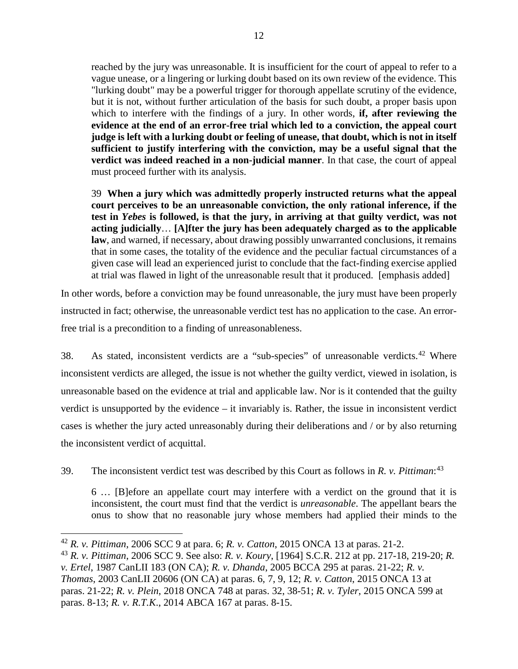reached by the jury was unreasonable. It is insufficient for the court of appeal to refer to a vague unease, or a lingering or lurking doubt based on its own review of the evidence. This "lurking doubt" may be a powerful trigger for thorough appellate scrutiny of the evidence, but it is not, without further articulation of the basis for such doubt, a proper basis upon which to interfere with the findings of a jury. In other words, **if, after reviewing the evidence at the end of an error-free trial which led to a conviction, the appeal court judge is left with a lurking doubt or feeling of unease, that doubt, which is not in itself sufficient to justify interfering with the conviction, may be a useful signal that the verdict was indeed reached in a non-judicial manner**. In that case, the court of appeal must proceed further with its analysis.

39 **When a jury which was admittedly properly instructed returns what the appeal court perceives to be an unreasonable conviction, the only rational inference, if the test in** *Yebes* **is followed, is that the jury, in arriving at that guilty verdict, was not acting judicially**… **[A]fter the jury has been adequately charged as to the applicable law**, and warned, if necessary, about drawing possibly unwarranted conclusions, it remains that in some cases, the totality of the evidence and the peculiar factual circumstances of a given case will lead an experienced jurist to conclude that the fact-finding exercise applied at trial was flawed in light of the unreasonable result that it produced. [emphasis added]

In other words, before a conviction may be found unreasonable, the jury must have been properly instructed in fact; otherwise, the unreasonable verdict test has no application to the case. An errorfree trial is a precondition to a finding of unreasonableness.

38. As stated, inconsistent verdicts are a "sub-species" of unreasonable verdicts.<sup>[42](#page-14-0)</sup> Where inconsistent verdicts are alleged, the issue is not whether the guilty verdict, viewed in isolation, is unreasonable based on the evidence at trial and applicable law. Nor is it contended that the guilty verdict is unsupported by the evidence – it invariably is. Rather, the issue in inconsistent verdict cases is whether the jury acted unreasonably during their deliberations and / or by also returning the inconsistent verdict of acquittal.

39. The inconsistent verdict test was described by this Court as follows in *R. v. Pittiman*: [43](#page-14-1)

6 … [B]efore an appellate court may interfere with a verdict on the ground that it is inconsistent, the court must find that the verdict is *unreasonable*. The appellant bears the onus to show that no reasonable jury whose members had applied their minds to the

<span id="page-14-0"></span><sup>42</sup> *R. v. Pittiman*, 2006 SCC 9 at para. 6; *R. v. Catton*, 2015 ONCA 13 at paras. 21-2.

<span id="page-14-1"></span><sup>43</sup> *R. v. Pittiman*, 2006 SCC 9. See also: *R. v. Koury*, [1964] S.C.R. 212 at pp. 217-18, 219-20; *R. v. Ertel*, 1987 CanLII 183 (ON CA); *R. v. Dhanda*, 2005 BCCA 295 at paras. 21-22; *R. v. Thomas*, 2003 CanLII 20606 (ON CA) at paras. 6, 7, 9, 12; *R. v. Catton*, 2015 ONCA 13 at paras. 21-22; *R. v. Plein*, 2018 ONCA 748 at paras. 32, 38-51; *R. v. Tyler*, 2015 ONCA 599 at paras. 8-13; *R. v. R.T.K*., 2014 ABCA 167 at paras. 8-15.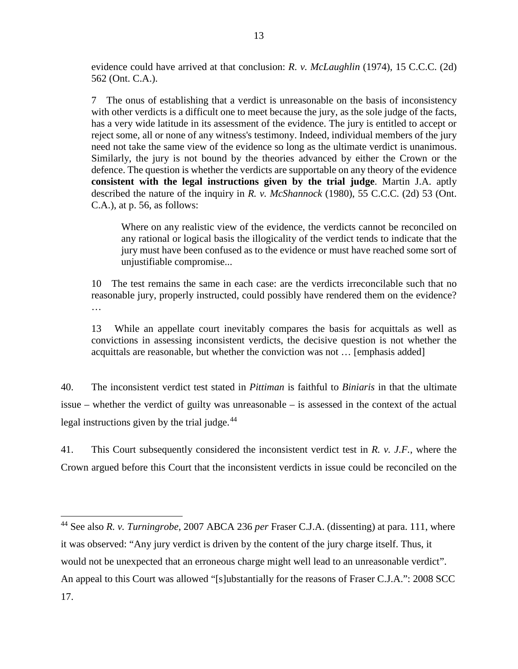evidence could have arrived at that conclusion: *R. v. McLaughlin* (1974), 15 C.C.C. (2d) 562 (Ont. C.A.).

7 The onus of establishing that a verdict is unreasonable on the basis of inconsistency with other verdicts is a difficult one to meet because the jury, as the sole judge of the facts, has a very wide latitude in its assessment of the evidence. The jury is entitled to accept or reject some, all or none of any witness's testimony. Indeed, individual members of the jury need not take the same view of the evidence so long as the ultimate verdict is unanimous. Similarly, the jury is not bound by the theories advanced by either the Crown or the defence. The question is whether the verdicts are supportable on any theory of the evidence **consistent with the legal instructions given by the trial judge**. Martin J.A. aptly described the nature of the inquiry in *R. v. McShannock* (1980), 55 C.C.C. (2d) 53 (Ont. C.A.), at p. 56, as follows:

Where on any realistic view of the evidence, the verdicts cannot be reconciled on any rational or logical basis the illogicality of the verdict tends to indicate that the jury must have been confused as to the evidence or must have reached some sort of unjustifiable compromise...

10 The test remains the same in each case: are the verdicts irreconcilable such that no reasonable jury, properly instructed, could possibly have rendered them on the evidence? …

13 While an appellate court inevitably compares the basis for acquittals as well as convictions in assessing inconsistent verdicts, the decisive question is not whether the acquittals are reasonable, but whether the conviction was not … [emphasis added]

40. The inconsistent verdict test stated in *Pittiman* is faithful to *Biniaris* in that the ultimate issue – whether the verdict of guilty was unreasonable – is assessed in the context of the actual legal instructions given by the trial judge.<sup>[44](#page-15-0)</sup>

41. This Court subsequently considered the inconsistent verdict test in *R. v. J.F.*, where the Crown argued before this Court that the inconsistent verdicts in issue could be reconciled on the

<span id="page-15-0"></span><sup>44</sup> See also *R. v. Turningrobe*, 2007 ABCA 236 *per* Fraser C.J.A. (dissenting) at para. 111, where it was observed: "Any jury verdict is driven by the content of the jury charge itself. Thus, it would not be unexpected that an erroneous charge might well lead to an unreasonable verdict". An appeal to this Court was allowed "[s]ubstantially for the reasons of Fraser C.J.A.": 2008 SCC 17.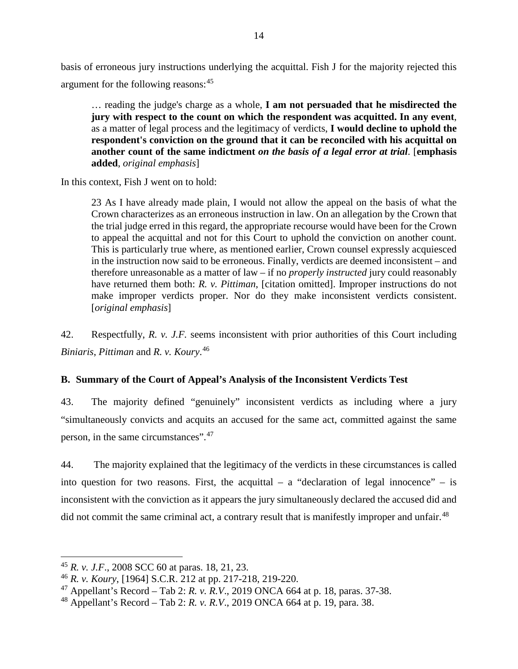basis of erroneous jury instructions underlying the acquittal. Fish J for the majority rejected this argument for the following reasons: [45](#page-16-1)

… reading the judge's charge as a whole, **I am not persuaded that he misdirected the jury with respect to the count on which the respondent was acquitted. In any event**, as a matter of legal process and the legitimacy of verdicts, **I would decline to uphold the respondent's conviction on the ground that it can be reconciled with his acquittal on another count of the same indictment** *on the basis of a legal error at trial*. [**emphasis added**, *original emphasis*]

In this context, Fish J went on to hold:

23 As I have already made plain, I would not allow the appeal on the basis of what the Crown characterizes as an erroneous instruction in law. On an allegation by the Crown that the trial judge erred in this regard, the appropriate recourse would have been for the Crown to appeal the acquittal and not for this Court to uphold the conviction on another count. This is particularly true where, as mentioned earlier, Crown counsel expressly acquiesced in the instruction now said to be erroneous. Finally, verdicts are deemed inconsistent – and therefore unreasonable as a matter of law – if no *properly instructed* jury could reasonably have returned them both: *R. v. Pittiman*, [citation omitted]. Improper instructions do not make improper verdicts proper. Nor do they make inconsistent verdicts consistent. [*original emphasis*]

42. Respectfully, *R. v. J.F.* seems inconsistent with prior authorities of this Court including *Biniaris*, *Pittiman* and *R. v. Koury*. [46](#page-16-2)

### <span id="page-16-0"></span>**B. Summary of the Court of Appeal's Analysis of the Inconsistent Verdicts Test**

43. The majority defined "genuinely" inconsistent verdicts as including where a jury "simultaneously convicts and acquits an accused for the same act, committed against the same person, in the same circumstances".[47](#page-16-3)

44. The majority explained that the legitimacy of the verdicts in these circumstances is called into question for two reasons. First, the acquittal – a "declaration of legal innocence" – is inconsistent with the conviction as it appears the jury simultaneously declared the accused did and did not commit the same criminal act, a contrary result that is manifestly improper and unfair.<sup>[48](#page-16-4)</sup>

<span id="page-16-1"></span><sup>45</sup> *R. v. J.F*., 2008 SCC 60 at paras. 18, 21, 23.

<span id="page-16-2"></span><sup>46</sup> *R. v. Koury*, [1964] S.C.R. 212 at pp. 217-218, 219-220.

<span id="page-16-3"></span><sup>47</sup> Appellant's Record – Tab 2: *R. v. R.V*., 2019 ONCA 664 at p. 18, paras. 37-38.

<span id="page-16-4"></span><sup>48</sup> Appellant's Record – Tab 2: *R. v. R.V*., 2019 ONCA 664 at p. 19, para. 38.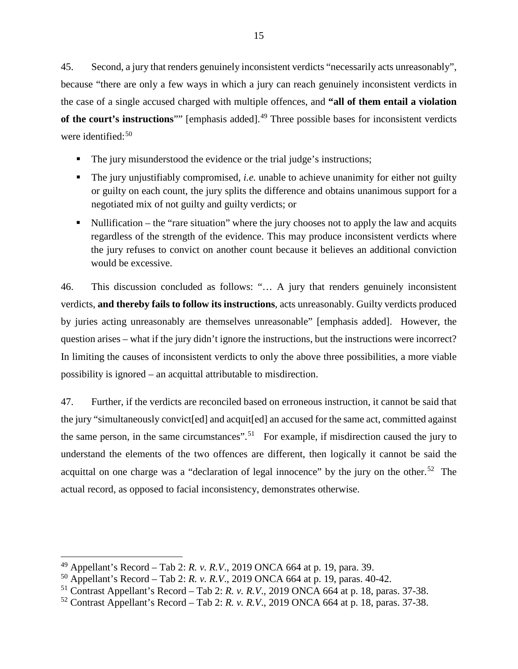45. Second, a jury that renders genuinely inconsistent verdicts "necessarily acts unreasonably", because "there are only a few ways in which a jury can reach genuinely inconsistent verdicts in the case of a single accused charged with multiple offences, and **"all of them entail a violation of the court's instructions**"" [emphasis added]. [49](#page-17-0) Three possible bases for inconsistent verdicts were identified: [50](#page-17-1)

- The jury misunderstood the evidence or the trial judge's instructions;
- The jury unjustifiably compromised, *i.e.* unable to achieve unanimity for either not guilty or guilty on each count, the jury splits the difference and obtains unanimous support for a negotiated mix of not guilty and guilty verdicts; or
- Nullification the "rare situation" where the jury chooses not to apply the law and acquits regardless of the strength of the evidence. This may produce inconsistent verdicts where the jury refuses to convict on another count because it believes an additional conviction would be excessive.

46. This discussion concluded as follows: "… A jury that renders genuinely inconsistent verdicts, **and thereby fails to follow its instructions**, acts unreasonably. Guilty verdicts produced by juries acting unreasonably are themselves unreasonable" [emphasis added]. However, the question arises – what if the jury didn't ignore the instructions, but the instructions were incorrect? In limiting the causes of inconsistent verdicts to only the above three possibilities, a more viable possibility is ignored – an acquittal attributable to misdirection.

47. Further, if the verdicts are reconciled based on erroneous instruction, it cannot be said that the jury "simultaneously convict[ed] and acquit[ed] an accused for the same act, committed against the same person, in the same circumstances".<sup>[51](#page-17-2)</sup> For example, if misdirection caused the jury to understand the elements of the two offences are different, then logically it cannot be said the acquittal on one charge was a "declaration of legal innocence" by the jury on the other.<sup>[52](#page-17-3)</sup> The actual record, as opposed to facial inconsistency, demonstrates otherwise.

<span id="page-17-0"></span><sup>49</sup> Appellant's Record – Tab 2: *R. v. R.V*., 2019 ONCA 664 at p. 19, para. 39.

<span id="page-17-1"></span><sup>50</sup> Appellant's Record – Tab 2: *R. v. R.V*., 2019 ONCA 664 at p. 19, paras. 40-42.

<span id="page-17-2"></span><sup>51</sup> Contrast Appellant's Record – Tab 2: *R. v. R.V*., 2019 ONCA 664 at p. 18, paras. 37-38.

<span id="page-17-3"></span><sup>52</sup> Contrast Appellant's Record – Tab 2: *R. v. R.V*., 2019 ONCA 664 at p. 18, paras. 37-38.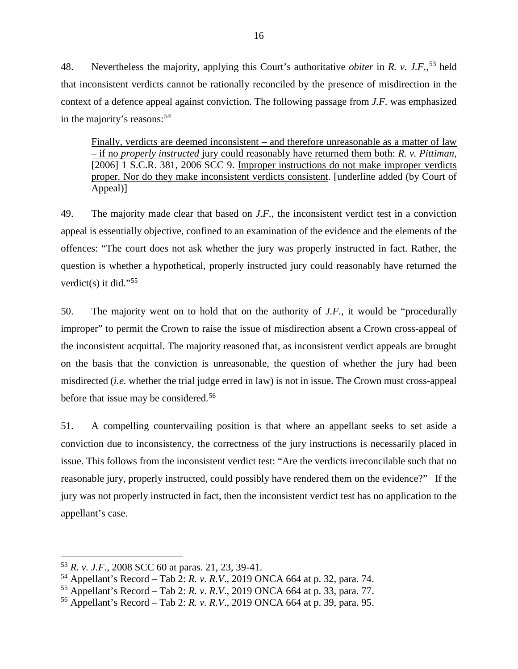48. Nevertheless the majority, applying this Court's authoritative *obiter* in *R. v. J.F.*, [53](#page-18-0) held that inconsistent verdicts cannot be rationally reconciled by the presence of misdirection in the context of a defence appeal against conviction. The following passage from *J.F.* was emphasized in the majority's reasons:<sup>[54](#page-18-1)</sup>

Finally, verdicts are deemed inconsistent – and therefore unreasonable as a matter of law – if no *properly instructed* jury could reasonably have returned them both: *R. v. Pittiman*, [2006] 1 S.C.R. 381, 2006 SCC 9. Improper instructions do not make improper verdicts proper. Nor do they make inconsistent verdicts consistent. [underline added (by Court of Appeal)]

49. The majority made clear that based on *J.F.*, the inconsistent verdict test in a conviction appeal is essentially objective, confined to an examination of the evidence and the elements of the offences: "The court does not ask whether the jury was properly instructed in fact. Rather, the question is whether a hypothetical, properly instructed jury could reasonably have returned the verdict(s) it did."<sup>[55](#page-18-2)</sup>

50. The majority went on to hold that on the authority of *J.F.*, it would be "procedurally improper" to permit the Crown to raise the issue of misdirection absent a Crown cross-appeal of the inconsistent acquittal. The majority reasoned that, as inconsistent verdict appeals are brought on the basis that the conviction is unreasonable, the question of whether the jury had been misdirected (*i.e.* whether the trial judge erred in law) is not in issue. The Crown must cross-appeal before that issue may be considered.<sup>[56](#page-18-3)</sup>

51. A compelling countervailing position is that where an appellant seeks to set aside a conviction due to inconsistency, the correctness of the jury instructions is necessarily placed in issue. This follows from the inconsistent verdict test: "Are the verdicts irreconcilable such that no reasonable jury, properly instructed, could possibly have rendered them on the evidence?" If the jury was not properly instructed in fact, then the inconsistent verdict test has no application to the appellant's case.

<span id="page-18-0"></span><sup>53</sup> *R. v. J.F.*, 2008 SCC 60 at paras. 21, 23, 39-41.

<span id="page-18-1"></span><sup>54</sup> Appellant's Record – Tab 2: *R. v. R.V*., 2019 ONCA 664 at p. 32, para. 74.

<span id="page-18-2"></span><sup>55</sup> Appellant's Record – Tab 2: *R. v. R.V*., 2019 ONCA 664 at p. 33, para. 77.

<span id="page-18-3"></span><sup>56</sup> Appellant's Record – Tab 2: *R. v. R.V*., 2019 ONCA 664 at p. 39, para. 95.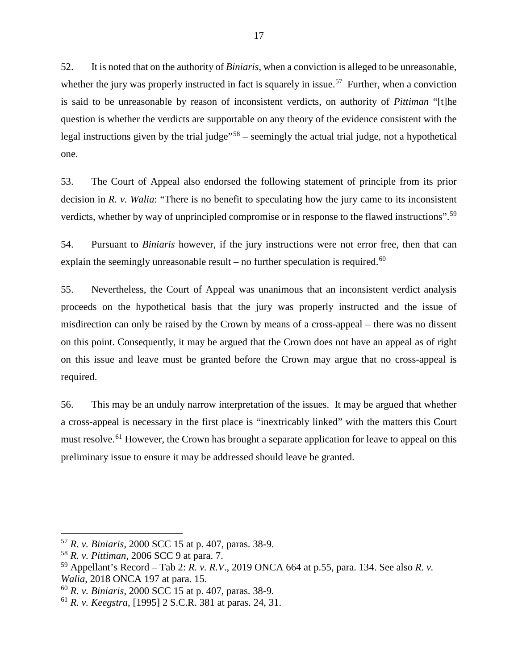52. It is noted that on the authority of *Biniaris*, when a conviction is alleged to be unreasonable, whether the jury was properly instructed in fact is squarely in issue.<sup>[57](#page-19-0)</sup> Further, when a conviction is said to be unreasonable by reason of inconsistent verdicts, on authority of *Pittiman* "[t]he question is whether the verdicts are supportable on any theory of the evidence consistent with the legal instructions given by the trial judge"<sup>[58](#page-19-1)</sup> – seemingly the actual trial judge, not a hypothetical one.

53. The Court of Appeal also endorsed the following statement of principle from its prior decision in *R. v. Walia*: "There is no benefit to speculating how the jury came to its inconsistent verdicts, whether by way of unprincipled compromise or in response to the flawed instructions".[59](#page-19-2)

54. Pursuant to *Biniaris* however, if the jury instructions were not error free, then that can explain the seemingly unreasonable result – no further speculation is required.<sup>[60](#page-19-3)</sup>

55. Nevertheless, the Court of Appeal was unanimous that an inconsistent verdict analysis proceeds on the hypothetical basis that the jury was properly instructed and the issue of misdirection can only be raised by the Crown by means of a cross-appeal – there was no dissent on this point. Consequently, it may be argued that the Crown does not have an appeal as of right on this issue and leave must be granted before the Crown may argue that no cross-appeal is required.

56. This may be an unduly narrow interpretation of the issues. It may be argued that whether a cross-appeal is necessary in the first place is "inextricably linked" with the matters this Court must resolve.<sup>[61](#page-19-4)</sup> However, the Crown has brought a separate application for leave to appeal on this preliminary issue to ensure it may be addressed should leave be granted.

<span id="page-19-0"></span><sup>57</sup> *R. v. Biniaris*, 2000 SCC 15 at p. 407, paras. 38-9.

<span id="page-19-1"></span><sup>58</sup> *R. v. Pittiman*, 2006 SCC 9 at para. 7.

<span id="page-19-2"></span><sup>59</sup> Appellant's Record – Tab 2: *R. v. R.V*., 2019 ONCA 664 at p.55, para. 134. See also *R. v. Walia*, 2018 ONCA 197 at para. 15.

<span id="page-19-3"></span><sup>60</sup> *R. v. Biniaris*, 2000 SCC 15 at p. 407, paras. 38-9.

<span id="page-19-4"></span><sup>61</sup> *R. v. Keegstra*, [1995] 2 S.C.R. 381 at paras. 24, 31.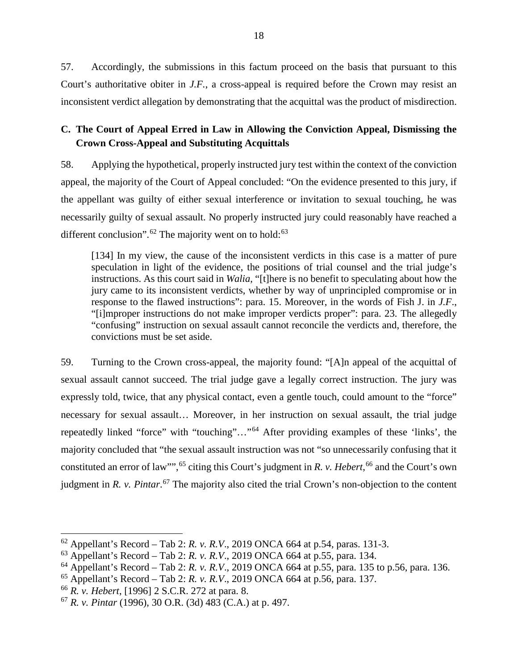57. Accordingly, the submissions in this factum proceed on the basis that pursuant to this Court's authoritative obiter in *J.F.*, a cross-appeal is required before the Crown may resist an inconsistent verdict allegation by demonstrating that the acquittal was the product of misdirection.

# <span id="page-20-0"></span>**C. The Court of Appeal Erred in Law in Allowing the Conviction Appeal, Dismissing the Crown Cross-Appeal and Substituting Acquittals**

58. Applying the hypothetical, properly instructed jury test within the context of the conviction appeal, the majority of the Court of Appeal concluded: "On the evidence presented to this jury, if the appellant was guilty of either sexual interference or invitation to sexual touching, he was necessarily guilty of sexual assault. No properly instructed jury could reasonably have reached a different conclusion".<sup>[62](#page-20-1)</sup> The majority went on to hold:<sup>[63](#page-20-2)</sup>

[134] In my view, the cause of the inconsistent verdicts in this case is a matter of pure speculation in light of the evidence, the positions of trial counsel and the trial judge's instructions. As this court said in *Walia*, "[t]here is no benefit to speculating about how the jury came to its inconsistent verdicts, whether by way of unprincipled compromise or in response to the flawed instructions": para. 15. Moreover, in the words of Fish J. in *J.F*., "[i]mproper instructions do not make improper verdicts proper": para. 23. The allegedly "confusing" instruction on sexual assault cannot reconcile the verdicts and, therefore, the convictions must be set aside.

59. Turning to the Crown cross-appeal, the majority found: "[A]n appeal of the acquittal of sexual assault cannot succeed. The trial judge gave a legally correct instruction. The jury was expressly told, twice, that any physical contact, even a gentle touch, could amount to the "force" necessary for sexual assault… Moreover, in her instruction on sexual assault, the trial judge repeatedly linked "force" with "touching"…"[64](#page-20-3) After providing examples of these 'links', the majority concluded that "the sexual assault instruction was not "so unnecessarily confusing that it constituted an error of law"",<sup>[65](#page-20-4)</sup> citing this Court's judgment in *R. v. Hebert*,<sup>[66](#page-20-5)</sup> and the Court's own judgment in *R. v. Pintar*. [67](#page-20-6) The majority also cited the trial Crown's non-objection to the content

<span id="page-20-1"></span><sup>62</sup> Appellant's Record – Tab 2: *R. v. R.V*., 2019 ONCA 664 at p.54, paras. 131-3.

<span id="page-20-2"></span><sup>63</sup> Appellant's Record – Tab 2: *R. v. R.V*., 2019 ONCA 664 at p.55, para. 134.

<span id="page-20-3"></span><sup>64</sup> Appellant's Record – Tab 2: *R. v. R.V*., 2019 ONCA 664 at p.55, para. 135 to p.56, para. 136.

<span id="page-20-4"></span><sup>65</sup> Appellant's Record – Tab 2: *R. v. R.V*., 2019 ONCA 664 at p.56, para. 137.

<span id="page-20-5"></span><sup>66</sup> *R. v. Hebert*, [1996] 2 S.C.R. 272 at para. 8.

<span id="page-20-6"></span><sup>67</sup> *R. v. Pintar* (1996), 30 O.R. (3d) 483 (C.A.) at p. 497.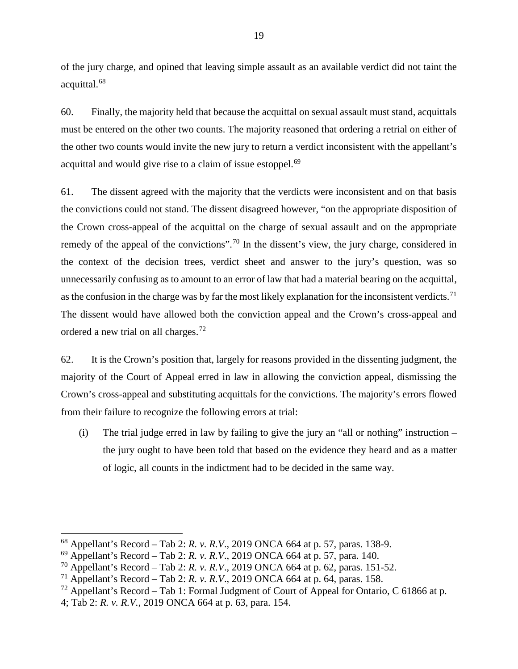of the jury charge, and opined that leaving simple assault as an available verdict did not taint the acquittal.[68](#page-21-0)

60. Finally, the majority held that because the acquittal on sexual assault must stand, acquittals must be entered on the other two counts. The majority reasoned that ordering a retrial on either of the other two counts would invite the new jury to return a verdict inconsistent with the appellant's acquittal and would give rise to a claim of issue estoppel.<sup>[69](#page-21-1)</sup>

61. The dissent agreed with the majority that the verdicts were inconsistent and on that basis the convictions could not stand. The dissent disagreed however, "on the appropriate disposition of the Crown cross-appeal of the acquittal on the charge of sexual assault and on the appropriate remedy of the appeal of the convictions".<sup>[70](#page-21-2)</sup> In the dissent's view, the jury charge, considered in the context of the decision trees, verdict sheet and answer to the jury's question, was so unnecessarily confusing as to amount to an error of law that had a material bearing on the acquittal, as the confusion in the charge was by far the most likely explanation for the inconsistent verdicts.<sup>[71](#page-21-3)</sup> The dissent would have allowed both the conviction appeal and the Crown's cross-appeal and ordered a new trial on all charges.[72](#page-21-4)

62. It is the Crown's position that, largely for reasons provided in the dissenting judgment, the majority of the Court of Appeal erred in law in allowing the conviction appeal, dismissing the Crown's cross-appeal and substituting acquittals for the convictions. The majority's errors flowed from their failure to recognize the following errors at trial:

(i) The trial judge erred in law by failing to give the jury an "all or nothing" instruction  $$ the jury ought to have been told that based on the evidence they heard and as a matter of logic, all counts in the indictment had to be decided in the same way.

<span id="page-21-0"></span><sup>68</sup> Appellant's Record – Tab 2: *R. v. R.V*., 2019 ONCA 664 at p. 57, paras. 138-9.

<span id="page-21-1"></span><sup>69</sup> Appellant's Record – Tab 2: *R. v. R.V*., 2019 ONCA 664 at p. 57, para. 140.

<span id="page-21-2"></span><sup>70</sup> Appellant's Record – Tab 2: *R. v. R.V*., 2019 ONCA 664 at p. 62, paras. 151-52.

<span id="page-21-3"></span><sup>&</sup>lt;sup>71</sup> Appellant's Record – Tab 2: *R. v. R.V.*, 2019 ONCA 664 at p. 64, paras. 158.

<span id="page-21-4"></span><sup>&</sup>lt;sup>72</sup> Appellant's Record – Tab 1: Formal Judgment of Court of Appeal for Ontario, C 61866 at p.

<sup>4;</sup> Tab 2: *R. v. R.V.*, 2019 ONCA 664 at p. 63, para. 154.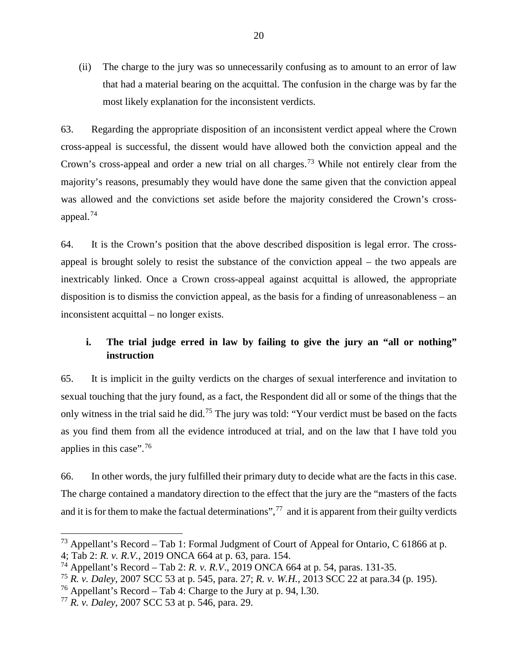(ii) The charge to the jury was so unnecessarily confusing as to amount to an error of law that had a material bearing on the acquittal. The confusion in the charge was by far the most likely explanation for the inconsistent verdicts.

63. Regarding the appropriate disposition of an inconsistent verdict appeal where the Crown cross-appeal is successful, the dissent would have allowed both the conviction appeal and the Crown's cross-appeal and order a new trial on all charges.<sup>[73](#page-22-1)</sup> While not entirely clear from the majority's reasons, presumably they would have done the same given that the conviction appeal was allowed and the convictions set aside before the majority considered the Crown's crossappeal.[74](#page-22-2)

64. It is the Crown's position that the above described disposition is legal error. The crossappeal is brought solely to resist the substance of the conviction appeal – the two appeals are inextricably linked. Once a Crown cross-appeal against acquittal is allowed, the appropriate disposition is to dismiss the conviction appeal, as the basis for a finding of unreasonableness – an inconsistent acquittal – no longer exists.

# <span id="page-22-0"></span>**i. The trial judge erred in law by failing to give the jury an "all or nothing" instruction**

65. It is implicit in the guilty verdicts on the charges of sexual interference and invitation to sexual touching that the jury found, as a fact, the Respondent did all or some of the things that the only witness in the trial said he did.[75](#page-22-3) The jury was told: "Your verdict must be based on the facts as you find them from all the evidence introduced at trial, and on the law that I have told you applies in this case".<sup>[76](#page-22-4)</sup>

66. In other words, the jury fulfilled their primary duty to decide what are the facts in this case. The charge contained a mandatory direction to the effect that the jury are the "masters of the facts and it is for them to make the factual determinations",  $^{77}$  $^{77}$  $^{77}$  and it is apparent from their guilty verdicts

<span id="page-22-1"></span><sup>&</sup>lt;sup>73</sup> Appellant's Record – Tab 1: Formal Judgment of Court of Appeal for Ontario, C 61866 at p.

<sup>4;</sup> Tab 2: *R. v. R.V.*, 2019 ONCA 664 at p. 63, para. 154.

<span id="page-22-2"></span><sup>74</sup> Appellant's Record – Tab 2: *R. v. R.V*., 2019 ONCA 664 at p. 54, paras. 131-35.

<span id="page-22-3"></span><sup>75</sup> *R. v. Daley*, 2007 SCC 53 at p. 545, para. 27; *R. v. W.H.*, 2013 SCC 22 at para.34 (p. 195).

<span id="page-22-4"></span><sup>&</sup>lt;sup>76</sup> Appellant's Record – Tab 4: Charge to the Jury at p. 94, 1.30.

<span id="page-22-5"></span><sup>77</sup> *R. v. Daley*, 2007 SCC 53 at p. 546, para. 29.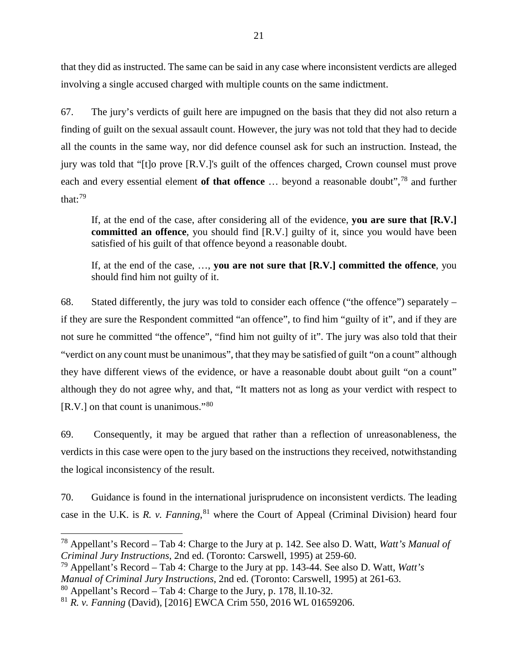that they did as instructed. The same can be said in any case where inconsistent verdicts are alleged involving a single accused charged with multiple counts on the same indictment.

67. The jury's verdicts of guilt here are impugned on the basis that they did not also return a finding of guilt on the sexual assault count. However, the jury was not told that they had to decide all the counts in the same way, nor did defence counsel ask for such an instruction. Instead, the jury was told that "[t]o prove [R.V.]'s guilt of the offences charged, Crown counsel must prove each and every essential element **of that offence** … beyond a reasonable doubt",[78](#page-23-0) and further that: $79$ 

If, at the end of the case, after considering all of the evidence, **you are sure that [R.V.] committed an offence**, you should find [R.V.] guilty of it, since you would have been satisfied of his guilt of that offence beyond a reasonable doubt.

If, at the end of the case, …, **you are not sure that [R.V.] committed the offence**, you should find him not guilty of it.

68. Stated differently, the jury was told to consider each offence ("the offence") separately – if they are sure the Respondent committed "an offence", to find him "guilty of it", and if they are not sure he committed "the offence", "find him not guilty of it". The jury was also told that their "verdict on any count must be unanimous", that they may be satisfied of guilt "on a count" although they have different views of the evidence, or have a reasonable doubt about guilt "on a count" although they do not agree why, and that, "It matters not as long as your verdict with respect to [R.V.] on that count is unanimous."[80](#page-23-2)

69. Consequently, it may be argued that rather than a reflection of unreasonableness, the verdicts in this case were open to the jury based on the instructions they received, notwithstanding the logical inconsistency of the result.

70. Guidance is found in the international jurisprudence on inconsistent verdicts. The leading case in the U.K. is *R. v. Fanning*, [81](#page-23-3) where the Court of Appeal (Criminal Division) heard four

<span id="page-23-1"></span><sup>79</sup> Appellant's Record – Tab 4: Charge to the Jury at pp. 143-44. See also D. Watt, *Watt's Manual of Criminal Jury Instructions*, 2nd ed. (Toronto: Carswell, 1995) at 261-63.

<span id="page-23-0"></span><sup>78</sup> Appellant's Record – Tab 4: Charge to the Jury at p. 142. See also D. Watt, *Watt's Manual of Criminal Jury Instructions*, 2nd ed. (Toronto: Carswell, 1995) at 259-60.

<span id="page-23-2"></span> $80$  Appellant's Record – Tab 4: Charge to the Jury, p. 178, 11.10-32.

<span id="page-23-3"></span><sup>81</sup> *R. v. Fanning* (David), [2016] EWCA Crim 550, 2016 WL 01659206.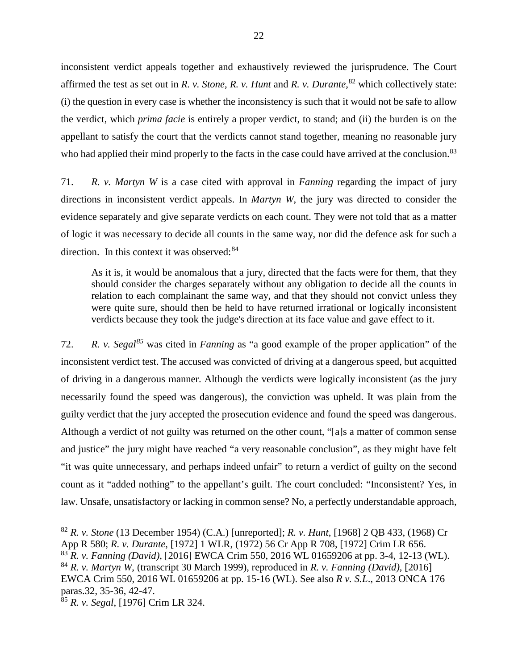inconsistent verdict appeals together and exhaustively reviewed the jurisprudence. The Court affirmed the test as set out in *R. v. Stone*, *R. v. Hunt* and *R. v. Durante*, [82](#page-24-0) which collectively state: (i) the question in every case is whether the inconsistency is such that it would not be safe to allow the verdict, which *prima facie* is entirely a proper verdict, to stand; and (ii) the burden is on the appellant to satisfy the court that the verdicts cannot stand together, meaning no reasonable jury who had applied their mind properly to the facts in the case could have arrived at the conclusion.<sup>[83](#page-24-1)</sup>

71. *R. v. Martyn W* is a case cited with approval in *Fanning* regarding the impact of jury directions in inconsistent verdict appeals. In *Martyn W*, the jury was directed to consider the evidence separately and give separate verdicts on each count. They were not told that as a matter of logic it was necessary to decide all counts in the same way, nor did the defence ask for such a direction. In this context it was observed:  $84$ 

As it is, it would be anomalous that a jury, directed that the facts were for them, that they should consider the charges separately without any obligation to decide all the counts in relation to each complainant the same way, and that they should not convict unless they were quite sure, should then be held to have returned irrational or logically inconsistent verdicts because they took the judge's direction at its face value and gave effect to it.

72. *R. v. Segal[85](#page-24-3)* was cited in *Fanning* as "a good example of the proper application" of the inconsistent verdict test. The accused was convicted of driving at a dangerous speed, but acquitted of driving in a dangerous manner. Although the verdicts were logically inconsistent (as the jury necessarily found the speed was dangerous), the conviction was upheld. It was plain from the guilty verdict that the jury accepted the prosecution evidence and found the speed was dangerous. Although a verdict of not guilty was returned on the other count, "[a]s a matter of common sense and justice" the jury might have reached "a very reasonable conclusion", as they might have felt "it was quite unnecessary, and perhaps indeed unfair" to return a verdict of guilty on the second count as it "added nothing" to the appellant's guilt. The court concluded: "Inconsistent? Yes, in law. Unsafe, unsatisfactory or lacking in common sense? No, a perfectly understandable approach,

<span id="page-24-0"></span><sup>82</sup> *R. v. Stone* (13 December 1954) (C.A.) [unreported]; *R. v. Hunt*, [1968] 2 QB 433, (1968) Cr App R 580; *R. v. Durante*, [1972] 1 WLR, (1972) 56 Cr App R 708, [1972] Crim LR 656.

<span id="page-24-2"></span><span id="page-24-1"></span><sup>83</sup> *R. v. Fanning (David)*, [2016] EWCA Crim 550, 2016 WL 01659206 at pp. 3-4, 12-13 (WL). <sup>84</sup> *R. v. Martyn W*, (transcript 30 March 1999), reproduced in *R. v. Fanning (David)*, [2016]

EWCA Crim 550, 2016 WL 01659206 at pp. 15-16 (WL). See also *R v. S.L*., 2013 ONCA 176 paras.32, 35-36, 42-47.

<span id="page-24-3"></span><sup>85</sup> *R. v. Segal*, [1976] Crim LR 324.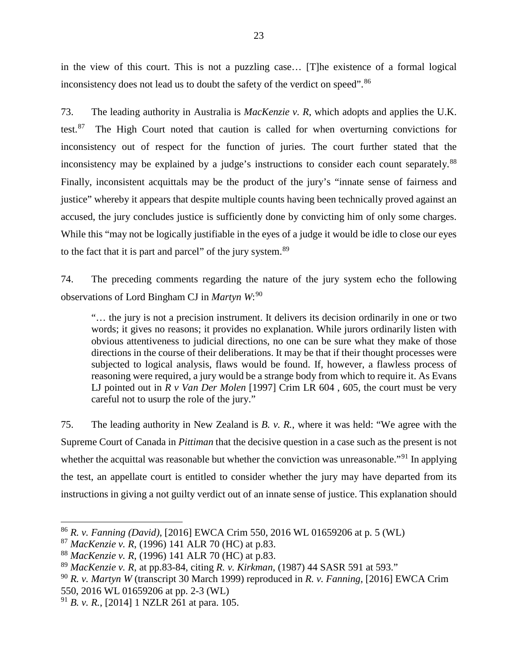in the view of this court. This is not a puzzling case… [T]he existence of a formal logical inconsistency does not lead us to doubt the safety of the verdict on speed".<sup>[86](#page-25-0)</sup>

73. The leading authority in Australia is *MacKenzie v. R*, which adopts and applies the U.K. test. $87$  The High Court noted that caution is called for when overturning convictions for inconsistency out of respect for the function of juries. The court further stated that the inconsistency may be explained by a judge's instructions to consider each count separately.<sup>[88](#page-25-2)</sup> Finally, inconsistent acquittals may be the product of the jury's "innate sense of fairness and justice" whereby it appears that despite multiple counts having been technically proved against an accused, the jury concludes justice is sufficiently done by convicting him of only some charges. While this "may not be logically justifiable in the eyes of a judge it would be idle to close our eyes to the fact that it is part and parcel" of the jury system.<sup>[89](#page-25-3)</sup>

74. The preceding comments regarding the nature of the jury system echo the following observations of Lord Bingham CJ in *Martyn W*: [90](#page-25-4)

"… the jury is not a precision instrument. It delivers its decision ordinarily in one or two words; it gives no reasons; it provides no explanation. While jurors ordinarily listen with obvious attentiveness to judicial directions, no one can be sure what they make of those directions in the course of their deliberations. It may be that if their thought processes were subjected to logical analysis, flaws would be found. If, however, a flawless process of reasoning were required, a jury would be a strange body from which to require it. As Evans LJ pointed out in *R v Van Der Molen* [1997] Crim LR 604, 605, the court must be very careful not to usurp the role of the jury."

75. The leading authority in New Zealand is *B. v. R.*, where it was held: "We agree with the Supreme Court of Canada in *Pittiman* that the decisive question in a case such as the present is not whether the acquittal was reasonable but whether the conviction was unreasonable."<sup>[91](#page-25-5)</sup> In applying the test, an appellate court is entitled to consider whether the jury may have departed from its instructions in giving a not guilty verdict out of an innate sense of justice. This explanation should

<span id="page-25-0"></span><sup>86</sup> *R. v. Fanning (David)*, [2016] EWCA Crim 550, 2016 WL 01659206 at p. 5 (WL)

<span id="page-25-1"></span><sup>87</sup> *MacKenzie v. R*, (1996) 141 ALR 70 (HC) at p.83.

<span id="page-25-2"></span><sup>88</sup> *MacKenzie v. R*, (1996) 141 ALR 70 (HC) at p.83.

<span id="page-25-3"></span><sup>89</sup> *MacKenzie v. R*, at pp.83-84, citing *R. v. Kirkman*, (1987) 44 SASR 591 at 593."

<span id="page-25-4"></span><sup>90</sup> *R. v. Martyn W* (transcript 30 March 1999) reproduced in *R. v. Fanning*, [2016] EWCA Crim 550, 2016 WL 01659206 at pp. 2-3 (WL)

<span id="page-25-5"></span><sup>91</sup> *B. v. R.*, [2014] 1 NZLR 261 at para. 105.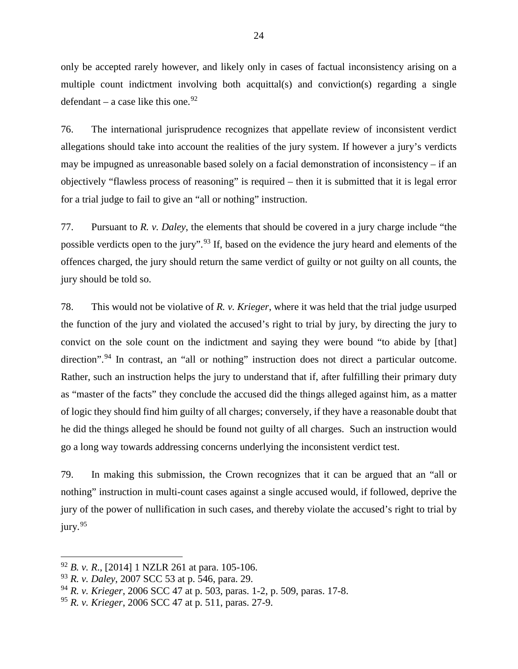only be accepted rarely however, and likely only in cases of factual inconsistency arising on a multiple count indictment involving both acquittal(s) and conviction(s) regarding a single defendant – a case like this one.<sup>[92](#page-26-0)</sup>

76. The international jurisprudence recognizes that appellate review of inconsistent verdict allegations should take into account the realities of the jury system. If however a jury's verdicts may be impugned as unreasonable based solely on a facial demonstration of inconsistency – if an objectively "flawless process of reasoning" is required – then it is submitted that it is legal error for a trial judge to fail to give an "all or nothing" instruction.

77. Pursuant to *R. v. Daley*, the elements that should be covered in a jury charge include "the possible verdicts open to the jury".<sup>[93](#page-26-1)</sup> If, based on the evidence the jury heard and elements of the offences charged, the jury should return the same verdict of guilty or not guilty on all counts, the jury should be told so.

78. This would not be violative of *R. v. Krieger*, where it was held that the trial judge usurped the function of the jury and violated the accused's right to trial by jury, by directing the jury to convict on the sole count on the indictment and saying they were bound "to abide by [that] direction".<sup>[94](#page-26-2)</sup> In contrast, an "all or nothing" instruction does not direct a particular outcome. Rather, such an instruction helps the jury to understand that if, after fulfilling their primary duty as "master of the facts" they conclude the accused did the things alleged against him, as a matter of logic they should find him guilty of all charges; conversely, if they have a reasonable doubt that he did the things alleged he should be found not guilty of all charges. Such an instruction would go a long way towards addressing concerns underlying the inconsistent verdict test.

79. In making this submission, the Crown recognizes that it can be argued that an "all or nothing" instruction in multi-count cases against a single accused would, if followed, deprive the jury of the power of nullification in such cases, and thereby violate the accused's right to trial by jury.<sup>[95](#page-26-3)</sup>

<span id="page-26-0"></span><sup>92</sup> *B. v. R*., [2014] 1 NZLR 261 at para. 105-106.

<span id="page-26-1"></span><sup>93</sup> *R. v. Daley*, 2007 SCC 53 at p. 546, para. 29.

<span id="page-26-2"></span><sup>94</sup> *R. v. Krieger*, 2006 SCC 47 at p. 503, paras. 1-2, p. 509, paras. 17-8.

<span id="page-26-3"></span><sup>95</sup> *R. v. Krieger*, 2006 SCC 47 at p. 511, paras. 27-9.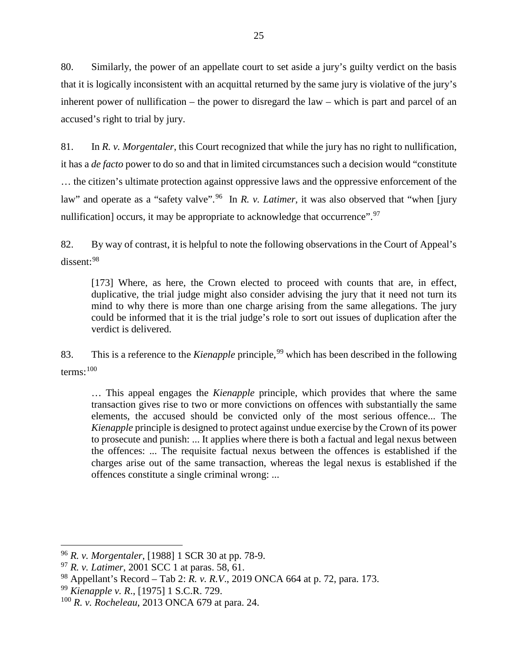80. Similarly, the power of an appellate court to set aside a jury's guilty verdict on the basis that it is logically inconsistent with an acquittal returned by the same jury is violative of the jury's inherent power of nullification – the power to disregard the law – which is part and parcel of an accused's right to trial by jury.

81. In *R. v. Morgentaler*, this Court recognized that while the jury has no right to nullification, it has a *de facto* power to do so and that in limited circumstances such a decision would "constitute … the citizen's ultimate protection against oppressive laws and the oppressive enforcement of the law" and operate as a "safety valve".<sup>[96](#page-27-0)</sup> In *R. v. Latimer*, it was also observed that "when [jury nullification] occurs, it may be appropriate to acknowledge that occurrence".<sup>[97](#page-27-1)</sup>

82. By way of contrast, it is helpful to note the following observations in the Court of Appeal's dissent: [98](#page-27-2)

[173] Where, as here, the Crown elected to proceed with counts that are, in effect, duplicative, the trial judge might also consider advising the jury that it need not turn its mind to why there is more than one charge arising from the same allegations. The jury could be informed that it is the trial judge's role to sort out issues of duplication after the verdict is delivered.

83. This is a reference to the *Kienapple* principle, [99](#page-27-3) which has been described in the following terms:  $100$ 

… This appeal engages the *Kienapple* principle, which provides that where the same transaction gives rise to two or more convictions on offences with substantially the same elements, the accused should be convicted only of the most serious offence... The *Kienapple* principle is designed to protect against undue exercise by the Crown of its power to prosecute and punish: ... It applies where there is both a factual and legal nexus between the offences: ... The requisite factual nexus between the offences is established if the charges arise out of the same transaction, whereas the legal nexus is established if the offences constitute a single criminal wrong: ...

<span id="page-27-0"></span><sup>96</sup> *R. v. Morgentaler*, [1988] 1 SCR 30 at pp. 78-9.

<span id="page-27-1"></span><sup>97</sup> *R. v. Latimer*, 2001 SCC 1 at paras. 58, 61.

<span id="page-27-2"></span><sup>98</sup> Appellant's Record – Tab 2: *R. v. R.V*., 2019 ONCA 664 at p. 72, para. 173.

<span id="page-27-3"></span><sup>99</sup> *Kienapple v. R*., [1975] 1 S.C.R. 729.

<span id="page-27-4"></span><sup>100</sup> *R. v. Rocheleau*, 2013 ONCA 679 at para. 24.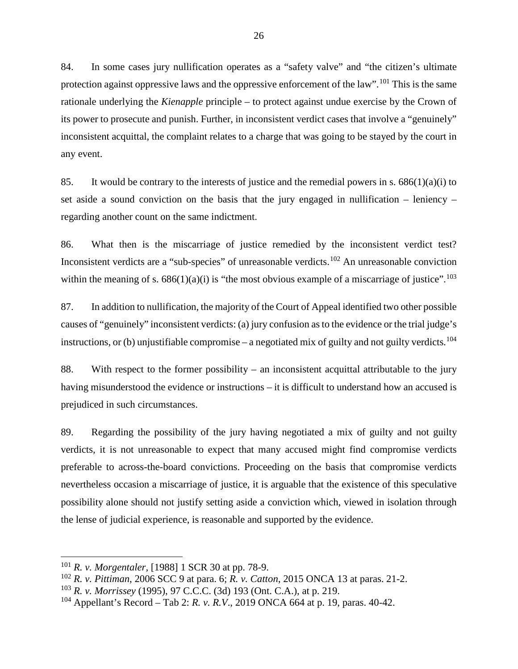84. In some cases jury nullification operates as a "safety valve" and "the citizen's ultimate protection against oppressive laws and the oppressive enforcement of the law".<sup>[101](#page-28-0)</sup> This is the same rationale underlying the *Kienapple* principle – to protect against undue exercise by the Crown of its power to prosecute and punish. Further, in inconsistent verdict cases that involve a "genuinely" inconsistent acquittal, the complaint relates to a charge that was going to be stayed by the court in any event.

85. It would be contrary to the interests of justice and the remedial powers in s.  $686(1)(a)(i)$  to set aside a sound conviction on the basis that the jury engaged in nullification – leniency – regarding another count on the same indictment.

86. What then is the miscarriage of justice remedied by the inconsistent verdict test? Inconsistent verdicts are a "sub-species" of unreasonable verdicts.<sup>[102](#page-28-1)</sup> An unreasonable conviction within the meaning of s.  $686(1)(a)(i)$  is "the most obvious example of a miscarriage of justice".<sup>[103](#page-28-2)</sup>

87. In addition to nullification, the majority of the Court of Appeal identified two other possible causes of "genuinely" inconsistent verdicts: (a) jury confusion as to the evidence or the trial judge's instructions, or (b) unjustifiable compromise – a negotiated mix of guilty and not guilty verdicts.<sup>[104](#page-28-3)</sup>

88. With respect to the former possibility – an inconsistent acquittal attributable to the jury having misunderstood the evidence or instructions – it is difficult to understand how an accused is prejudiced in such circumstances.

89. Regarding the possibility of the jury having negotiated a mix of guilty and not guilty verdicts, it is not unreasonable to expect that many accused might find compromise verdicts preferable to across-the-board convictions. Proceeding on the basis that compromise verdicts nevertheless occasion a miscarriage of justice, it is arguable that the existence of this speculative possibility alone should not justify setting aside a conviction which, viewed in isolation through the lense of judicial experience, is reasonable and supported by the evidence.

<span id="page-28-0"></span><sup>101</sup> *R. v. Morgentaler*, [1988] 1 SCR 30 at pp. 78-9.

<span id="page-28-1"></span><sup>102</sup> *R. v. Pittiman*, 2006 SCC 9 at para. 6; *R. v. Catton*, 2015 ONCA 13 at paras. 21-2.

<span id="page-28-2"></span><sup>103</sup> *R. v. Morrissey* (1995), 97 C.C.C. (3d) 193 (Ont. C.A.), at p. 219.

<span id="page-28-3"></span><sup>104</sup> Appellant's Record – Tab 2: *R. v. R.V*., 2019 ONCA 664 at p. 19, paras. 40-42.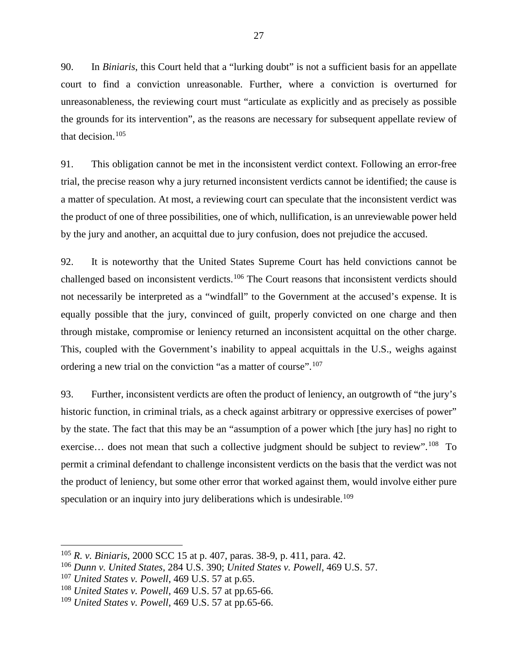90. In *Biniaris*, this Court held that a "lurking doubt" is not a sufficient basis for an appellate court to find a conviction unreasonable. Further, where a conviction is overturned for unreasonableness, the reviewing court must "articulate as explicitly and as precisely as possible the grounds for its intervention", as the reasons are necessary for subsequent appellate review of that decision.[105](#page-29-0)

91. This obligation cannot be met in the inconsistent verdict context. Following an error-free trial, the precise reason why a jury returned inconsistent verdicts cannot be identified; the cause is a matter of speculation. At most, a reviewing court can speculate that the inconsistent verdict was the product of one of three possibilities, one of which, nullification, is an unreviewable power held by the jury and another, an acquittal due to jury confusion, does not prejudice the accused.

92. It is noteworthy that the United States Supreme Court has held convictions cannot be challenged based on inconsistent verdicts.[106](#page-29-1) The Court reasons that inconsistent verdicts should not necessarily be interpreted as a "windfall" to the Government at the accused's expense. It is equally possible that the jury, convinced of guilt, properly convicted on one charge and then through mistake, compromise or leniency returned an inconsistent acquittal on the other charge. This, coupled with the Government's inability to appeal acquittals in the U.S., weighs against ordering a new trial on the conviction "as a matter of course".<sup>[107](#page-29-2)</sup>

93. Further, inconsistent verdicts are often the product of leniency, an outgrowth of "the jury's historic function, in criminal trials, as a check against arbitrary or oppressive exercises of power" by the state. The fact that this may be an "assumption of a power which [the jury has] no right to exercise... does not mean that such a collective judgment should be subject to review".<sup>[108](#page-29-3)</sup> To permit a criminal defendant to challenge inconsistent verdicts on the basis that the verdict was not the product of leniency, but some other error that worked against them, would involve either pure speculation or an inquiry into jury deliberations which is undesirable.<sup>[109](#page-29-4)</sup>

<span id="page-29-0"></span><sup>105</sup> *R. v. Biniaris*, 2000 SCC 15 at p. 407, paras. 38-9, p. 411, para. 42.

<span id="page-29-1"></span><sup>106</sup> *Dunn v. United States*, 284 U.S. 390; *United States v. Powell*, 469 U.S. 57.

<span id="page-29-2"></span><sup>107</sup> *United States v. Powell*, 469 U.S. 57 at p.65.

<span id="page-29-3"></span><sup>108</sup> *United States v. Powell*, 469 U.S. 57 at pp.65-66.

<span id="page-29-4"></span><sup>109</sup> *United States v. Powell*, 469 U.S. 57 at pp.65-66.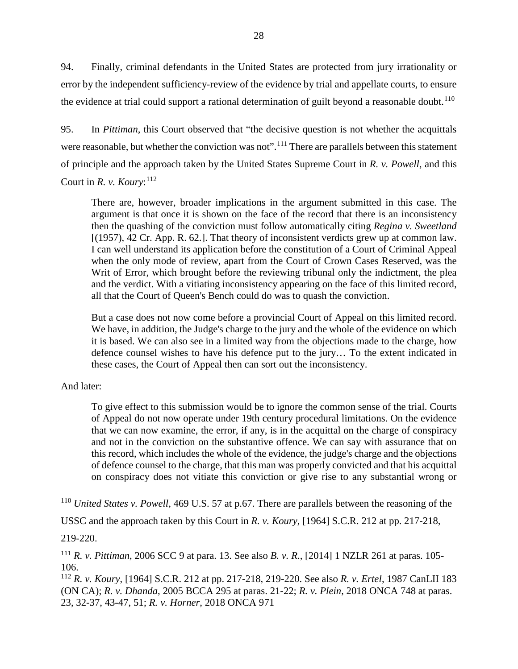94. Finally, criminal defendants in the United States are protected from jury irrationality or error by the independent sufficiency-review of the evidence by trial and appellate courts, to ensure the evidence at trial could support a rational determination of guilt beyond a reasonable doubt.<sup>[110](#page-30-0)</sup>

95. In *Pittiman*, this Court observed that "the decisive question is not whether the acquittals were reasonable, but whether the conviction was not".<sup>[111](#page-30-1)</sup> There are parallels between this statement of principle and the approach taken by the United States Supreme Court in *R. v. Powell*, and this Court in *R. v. Koury*: [112](#page-30-2)

There are, however, broader implications in the argument submitted in this case. The argument is that once it is shown on the face of the record that there is an inconsistency then the quashing of the conviction must follow automatically citing *Regina v. Sweetland* [(1957), 42 Cr. App. R. 62.]. That theory of inconsistent verdicts grew up at common law. I can well understand its application before the constitution of a Court of Criminal Appeal when the only mode of review, apart from the Court of Crown Cases Reserved, was the Writ of Error, which brought before the reviewing tribunal only the indictment, the plea and the verdict. With a vitiating inconsistency appearing on the face of this limited record, all that the Court of Queen's Bench could do was to quash the conviction.

But a case does not now come before a provincial Court of Appeal on this limited record. We have, in addition, the Judge's charge to the jury and the whole of the evidence on which it is based. We can also see in a limited way from the objections made to the charge, how defence counsel wishes to have his defence put to the jury… To the extent indicated in these cases, the Court of Appeal then can sort out the inconsistency.

And later:

To give effect to this submission would be to ignore the common sense of the trial. Courts of Appeal do not now operate under 19th century procedural limitations. On the evidence that we can now examine, the error, if any, is in the acquittal on the charge of conspiracy and not in the conviction on the substantive offence. We can say with assurance that on this record, which includes the whole of the evidence, the judge's charge and the objections of defence counsel to the charge, that this man was properly convicted and that his acquittal on conspiracy does not vitiate this conviction or give rise to any substantial wrong or

219-220.

<span id="page-30-0"></span><sup>110</sup> *United States v. Powell*, 469 U.S. 57 at p.67. There are parallels between the reasoning of the

USSC and the approach taken by this Court in *R. v. Koury*, [1964] S.C.R. 212 at pp. 217-218,

<span id="page-30-1"></span><sup>111</sup> *R. v. Pittiman*, 2006 SCC 9 at para. 13. See also *B. v. R*., [2014] 1 NZLR 261 at paras. 105- 106.

<span id="page-30-2"></span><sup>112</sup> *R. v. Koury*, [1964] S.C.R. 212 at pp. 217-218, 219-220. See also *R. v. Ertel*, 1987 CanLII 183 (ON CA); *R. v. Dhanda*, 2005 BCCA 295 at paras. 21-22; *R. v. Plein*, 2018 ONCA 748 at paras. 23, 32-37, 43-47, 51; *R. v. Horner*, 2018 ONCA 971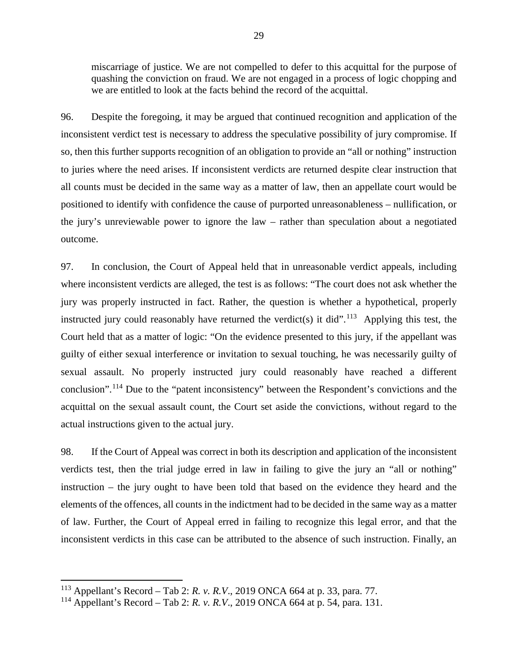miscarriage of justice. We are not compelled to defer to this acquittal for the purpose of quashing the conviction on fraud. We are not engaged in a process of logic chopping and we are entitled to look at the facts behind the record of the acquittal.

96. Despite the foregoing, it may be argued that continued recognition and application of the inconsistent verdict test is necessary to address the speculative possibility of jury compromise. If so, then this further supports recognition of an obligation to provide an "all or nothing" instruction to juries where the need arises. If inconsistent verdicts are returned despite clear instruction that all counts must be decided in the same way as a matter of law, then an appellate court would be positioned to identify with confidence the cause of purported unreasonableness – nullification, or the jury's unreviewable power to ignore the law – rather than speculation about a negotiated outcome.

97. In conclusion, the Court of Appeal held that in unreasonable verdict appeals, including where inconsistent verdicts are alleged, the test is as follows: "The court does not ask whether the jury was properly instructed in fact. Rather, the question is whether a hypothetical, properly instructed jury could reasonably have returned the verdict(s) it did".<sup>[113](#page-31-0)</sup> Applying this test, the Court held that as a matter of logic: "On the evidence presented to this jury, if the appellant was guilty of either sexual interference or invitation to sexual touching, he was necessarily guilty of sexual assault. No properly instructed jury could reasonably have reached a different conclusion".[114](#page-31-1) Due to the "patent inconsistency" between the Respondent's convictions and the acquittal on the sexual assault count, the Court set aside the convictions, without regard to the actual instructions given to the actual jury.

98. If the Court of Appeal was correct in both its description and application of the inconsistent verdicts test, then the trial judge erred in law in failing to give the jury an "all or nothing" instruction – the jury ought to have been told that based on the evidence they heard and the elements of the offences, all counts in the indictment had to be decided in the same way as a matter of law. Further, the Court of Appeal erred in failing to recognize this legal error, and that the inconsistent verdicts in this case can be attributed to the absence of such instruction. Finally, an

<span id="page-31-0"></span><sup>113</sup> Appellant's Record – Tab 2: *R. v. R.V*., 2019 ONCA 664 at p. 33, para. 77.

<span id="page-31-1"></span><sup>114</sup> Appellant's Record – Tab 2: *R. v. R.V*., 2019 ONCA 664 at p. 54, para. 131.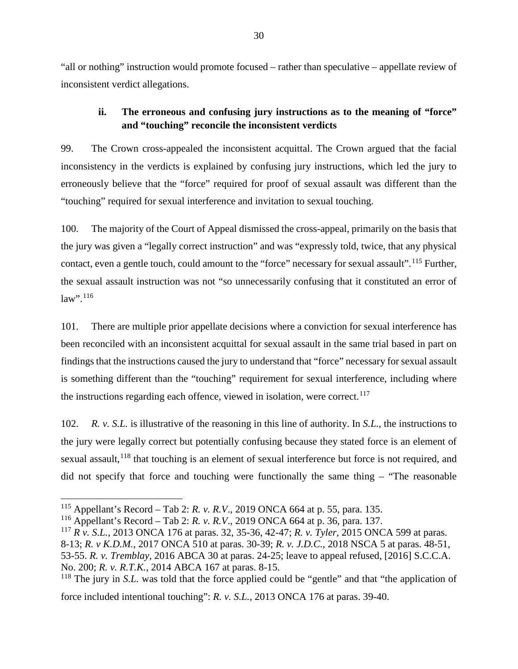"all or nothing" instruction would promote focused – rather than speculative – appellate review of inconsistent verdict allegations.

# **ii. The erroneous and confusing jury instructions as to the meaning of "force" and "touching" reconcile the inconsistent verdicts**

<span id="page-32-0"></span>99. The Crown cross-appealed the inconsistent acquittal. The Crown argued that the facial inconsistency in the verdicts is explained by confusing jury instructions, which led the jury to erroneously believe that the "force" required for proof of sexual assault was different than the "touching" required for sexual interference and invitation to sexual touching.

100. The majority of the Court of Appeal dismissed the cross-appeal, primarily on the basis that the jury was given a "legally correct instruction" and was "expressly told, twice, that any physical contact, even a gentle touch, could amount to the "force" necessary for sexual assault".<sup>[115](#page-32-1)</sup> Further, the sexual assault instruction was not "so unnecessarily confusing that it constituted an error of  $law$ ".  $116$ 

101. There are multiple prior appellate decisions where a conviction for sexual interference has been reconciled with an inconsistent acquittal for sexual assault in the same trial based in part on findings that the instructions caused the jury to understand that "force" necessary for sexual assault is something different than the "touching" requirement for sexual interference, including where the instructions regarding each offence, viewed in isolation, were correct.<sup>[117](#page-32-3)</sup>

102. *R. v. S.L.* is illustrative of the reasoning in this line of authority. In *S.L.*, the instructions to the jury were legally correct but potentially confusing because they stated force is an element of sexual assault,<sup>[118](#page-32-4)</sup> that touching is an element of sexual interference but force is not required, and did not specify that force and touching were functionally the same thing – "The reasonable

<span id="page-32-1"></span><sup>115</sup> Appellant's Record – Tab 2: *R. v. R.V*., 2019 ONCA 664 at p. 55, para. 135.

<span id="page-32-2"></span><sup>116</sup> Appellant's Record – Tab 2: *R. v. R.V*., 2019 ONCA 664 at p. 36, para. 137.

<span id="page-32-3"></span><sup>117</sup> *R v. S.L.*, 2013 ONCA 176 at paras. 32, 35-36, 42-47; *R. v. Tyler*, 2015 ONCA 599 at paras. 8-13; *R. v K.D.M.*, 2017 ONCA 510 at paras. 30-39; *R. v. J.D.C.*, 2018 NSCA 5 at paras. 48-51, 53-55. *R. v. Tremblay*, 2016 ABCA 30 at paras. 24-25; leave to appeal refused, [2016] S.C.C.A. No. 200; *R. v. R.T.K.*, 2014 ABCA 167 at paras. 8-15.

<span id="page-32-4"></span><sup>&</sup>lt;sup>118</sup> The jury in *S.L.* was told that the force applied could be "gentle" and that "the application of force included intentional touching": *R. v. S.L.*, 2013 ONCA 176 at paras. 39-40.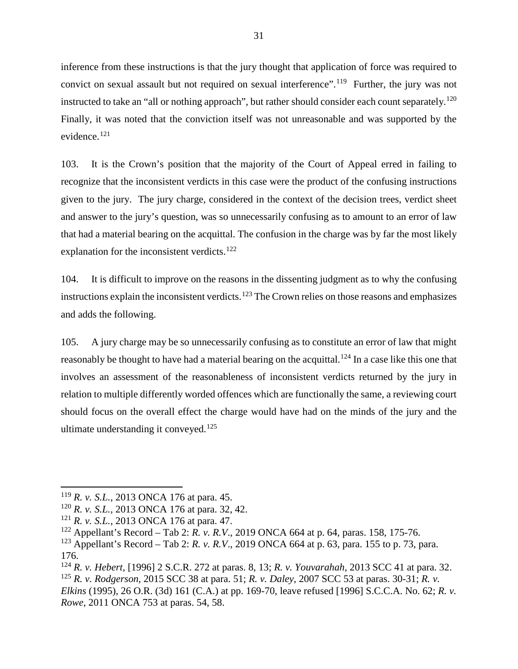inference from these instructions is that the jury thought that application of force was required to convict on sexual assault but not required on sexual interference".<sup>[119](#page-33-0)</sup> Further, the jury was not instructed to take an "all or nothing approach", but rather should consider each count separately.<sup>[120](#page-33-1)</sup> Finally, it was noted that the conviction itself was not unreasonable and was supported by the evidence.[121](#page-33-2)

103. It is the Crown's position that the majority of the Court of Appeal erred in failing to recognize that the inconsistent verdicts in this case were the product of the confusing instructions given to the jury. The jury charge, considered in the context of the decision trees, verdict sheet and answer to the jury's question, was so unnecessarily confusing as to amount to an error of law that had a material bearing on the acquittal. The confusion in the charge was by far the most likely explanation for the inconsistent verdicts.<sup>[122](#page-33-3)</sup>

104. It is difficult to improve on the reasons in the dissenting judgment as to why the confusing instructions explain the inconsistent verdicts.<sup>[123](#page-33-4)</sup> The Crown relies on those reasons and emphasizes and adds the following.

105. A jury charge may be so unnecessarily confusing as to constitute an error of law that might reasonably be thought to have had a material bearing on the acquittal.<sup>[124](#page-33-5)</sup> In a case like this one that involves an assessment of the reasonableness of inconsistent verdicts returned by the jury in relation to multiple differently worded offences which are functionally the same, a reviewing court should focus on the overall effect the charge would have had on the minds of the jury and the ultimate understanding it conveyed.<sup>[125](#page-33-6)</sup>

<span id="page-33-4"></span><sup>123</sup> Appellant's Record – Tab 2: *R. v. R.V*., 2019 ONCA 664 at p. 63, para. 155 to p. 73, para. 176.

<span id="page-33-0"></span><sup>119</sup> *R. v. S.L.*, 2013 ONCA 176 at para. 45.

<span id="page-33-1"></span><sup>120</sup> *R. v. S.L.*, 2013 ONCA 176 at para. 32, 42.

<span id="page-33-2"></span><sup>121</sup> *R. v. S.L.*, 2013 ONCA 176 at para. 47.

<span id="page-33-3"></span><sup>122</sup> Appellant's Record – Tab 2: *R. v. R.V*., 2019 ONCA 664 at p. 64, paras. 158, 175-76.

<span id="page-33-6"></span><span id="page-33-5"></span><sup>124</sup> *R. v. Hebert*, [1996] 2 S.C.R. 272 at paras. 8, 13; *R. v. Youvarahah*, 2013 SCC 41 at para. 32. <sup>125</sup> *R. v. Rodgerson*, 2015 SCC 38 at para. 51; *R. v. Daley*, 2007 SCC 53 at paras. 30-31; *R. v. Elkins* (1995), 26 O.R. (3d) 161 (C.A.) at pp. 169-70, leave refused [1996] S.C.C.A. No. 62; *R. v. Rowe*, 2011 ONCA 753 at paras. 54, 58.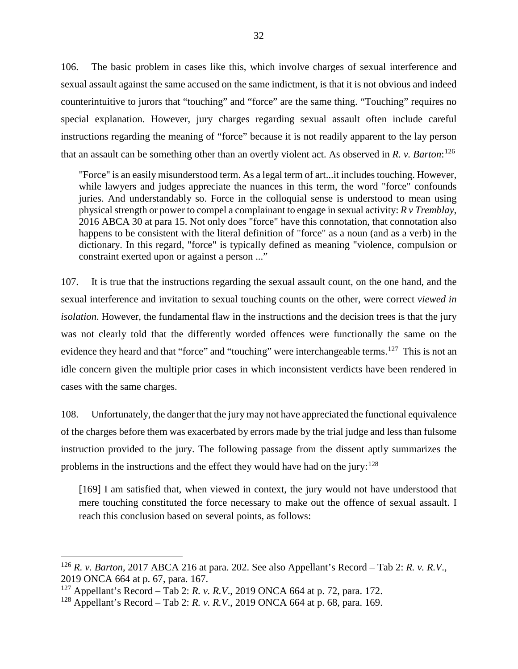106. The basic problem in cases like this, which involve charges of sexual interference and sexual assault against the same accused on the same indictment, is that it is not obvious and indeed counterintuitive to jurors that "touching" and "force" are the same thing. "Touching" requires no special explanation. However, jury charges regarding sexual assault often include careful instructions regarding the meaning of "force" because it is not readily apparent to the lay person that an assault can be something other than an overtly violent act. As observed in *R. v. Barton*: [126](#page-34-0)

"Force" is an easily misunderstood term. As a legal term of art...it includes touching. However, while lawyers and judges appreciate the nuances in this term, the word "force" confounds juries. And understandably so. Force in the colloquial sense is understood to mean using physical strength or power to compel a complainant to engage in sexual activity: *R v Tremblay*, 2016 ABCA 30 at para 15. Not only does "force" have this connotation, that connotation also happens to be consistent with the literal definition of "force" as a noun (and as a verb) in the dictionary. In this regard, "force" is typically defined as meaning "violence, compulsion or constraint exerted upon or against a person ..."

107. It is true that the instructions regarding the sexual assault count, on the one hand, and the sexual interference and invitation to sexual touching counts on the other, were correct *viewed in isolation*. However, the fundamental flaw in the instructions and the decision trees is that the jury was not clearly told that the differently worded offences were functionally the same on the evidence they heard and that "force" and "touching" were interchangeable terms.<sup>[127](#page-34-1)</sup> This is not an idle concern given the multiple prior cases in which inconsistent verdicts have been rendered in cases with the same charges.

108. Unfortunately, the danger that the jury may not have appreciated the functional equivalence of the charges before them was exacerbated by errors made by the trial judge and less than fulsome instruction provided to the jury. The following passage from the dissent aptly summarizes the problems in the instructions and the effect they would have had on the jury:<sup>[128](#page-34-2)</sup>

[169] I am satisfied that, when viewed in context, the jury would not have understood that mere touching constituted the force necessary to make out the offence of sexual assault. I reach this conclusion based on several points, as follows:

<span id="page-34-0"></span><sup>126</sup> *R. v. Barton*, 2017 ABCA 216 at para. 202. See also Appellant's Record – Tab 2: *R. v. R.V*., 2019 ONCA 664 at p. 67, para. 167.

<span id="page-34-1"></span><sup>127</sup> Appellant's Record – Tab 2: *R. v. R.V*., 2019 ONCA 664 at p. 72, para. 172.

<span id="page-34-2"></span><sup>128</sup> Appellant's Record – Tab 2: *R. v. R.V*., 2019 ONCA 664 at p. 68, para. 169.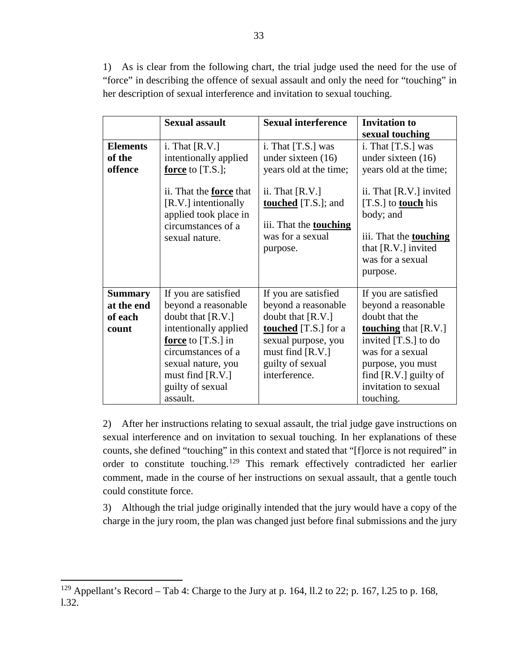1) As is clear from the following chart, the trial judge used the need for the use of "force" in describing the offence of sexual assault and only the need for "touching" in her description of sexual interference and invitation to sexual touching.

|                 | <b>Sexual assault</b>                                                                                                   | <b>Sexual interference</b>                                                                                       | <b>Invitation to</b>                                                                                                                                       |
|-----------------|-------------------------------------------------------------------------------------------------------------------------|------------------------------------------------------------------------------------------------------------------|------------------------------------------------------------------------------------------------------------------------------------------------------------|
|                 |                                                                                                                         |                                                                                                                  | sexual touching                                                                                                                                            |
| <b>Elements</b> | i. That $[R.V.]$                                                                                                        | i. That $[T.S.]$ was                                                                                             | i. That $[T.S.]$ was                                                                                                                                       |
| of the          | intentionally applied                                                                                                   | under sixteen $(16)$                                                                                             | under sixteen $(16)$                                                                                                                                       |
| offence         | <b>force</b> to [T.S.];                                                                                                 | years old at the time;                                                                                           | years old at the time;                                                                                                                                     |
|                 | ii. That the <b>force</b> that<br>[R.V.] intentionally<br>applied took place in<br>circumstances of a<br>sexual nature. | ii. That $[R.V.]$<br><b>touched</b> [T.S.]; and<br>iii. That the <b>touching</b><br>was for a sexual<br>purpose. | ii. That [R.V.] invited<br>[T.S.] to <b>touch</b> his<br>body; and<br>iii. That the <b>touching</b><br>that [R.V.] invited<br>was for a sexual<br>purpose. |
| <b>Summary</b>  | If you are satisfied                                                                                                    | If you are satisfied                                                                                             | If you are satisfied                                                                                                                                       |
| at the end      | beyond a reasonable                                                                                                     | beyond a reasonable                                                                                              | beyond a reasonable                                                                                                                                        |
| of each         | doubt that [R.V.]                                                                                                       | doubt that $[R.V.]$                                                                                              | doubt that the                                                                                                                                             |
| count           | intentionally applied                                                                                                   | <b>touched</b> [T.S.] for a                                                                                      | <b>touching</b> that [R.V.]                                                                                                                                |
|                 | force to [T.S.] in                                                                                                      | sexual purpose, you                                                                                              | invited $[T.S.]$ to do                                                                                                                                     |
|                 | circumstances of a                                                                                                      | must find [R.V.]                                                                                                 | was for a sexual                                                                                                                                           |
|                 | sexual nature, you                                                                                                      | guilty of sexual                                                                                                 | purpose, you must                                                                                                                                          |
|                 | must find $[R.V.]$                                                                                                      | interference.                                                                                                    | find $[R.V.]$ guilty of                                                                                                                                    |
|                 | guilty of sexual                                                                                                        |                                                                                                                  | invitation to sexual                                                                                                                                       |
|                 | assault.                                                                                                                |                                                                                                                  | touching.                                                                                                                                                  |

2) After her instructions relating to sexual assault, the trial judge gave instructions on sexual interference and on invitation to sexual touching. In her explanations of these counts, she defined "touching" in this context and stated that "[f]orce is not required" in order to constitute touching.[129](#page-35-0) This remark effectively contradicted her earlier comment, made in the course of her instructions on sexual assault, that a gentle touch could constitute force.

3) Although the trial judge originally intended that the jury would have a copy of the charge in the jury room, the plan was changed just before final submissions and the jury

<span id="page-35-0"></span><sup>&</sup>lt;sup>129</sup> Appellant's Record – Tab 4: Charge to the Jury at p. 164, ll.2 to 22; p. 167, 1.25 to p. 168, l.32.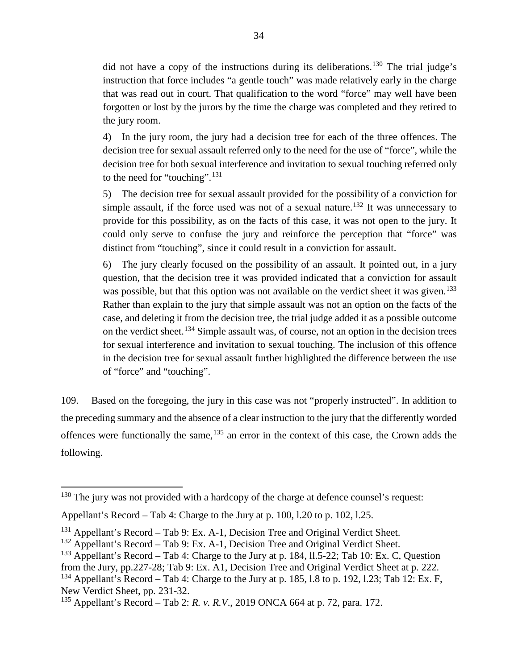did not have a copy of the instructions during its deliberations.<sup>[130](#page-36-0)</sup> The trial judge's instruction that force includes "a gentle touch" was made relatively early in the charge that was read out in court. That qualification to the word "force" may well have been forgotten or lost by the jurors by the time the charge was completed and they retired to the jury room.

4) In the jury room, the jury had a decision tree for each of the three offences. The decision tree for sexual assault referred only to the need for the use of "force", while the decision tree for both sexual interference and invitation to sexual touching referred only to the need for "touching".<sup>[131](#page-36-1)</sup>

5) The decision tree for sexual assault provided for the possibility of a conviction for simple assault, if the force used was not of a sexual nature.<sup>[132](#page-36-2)</sup> It was unnecessary to provide for this possibility, as on the facts of this case, it was not open to the jury. It could only serve to confuse the jury and reinforce the perception that "force" was distinct from "touching", since it could result in a conviction for assault.

6) The jury clearly focused on the possibility of an assault. It pointed out, in a jury question, that the decision tree it was provided indicated that a conviction for assault was possible, but that this option was not available on the verdict sheet it was given.<sup>[133](#page-36-3)</sup> Rather than explain to the jury that simple assault was not an option on the facts of the case, and deleting it from the decision tree, the trial judge added it as a possible outcome on the verdict sheet.<sup>[134](#page-36-4)</sup> Simple assault was, of course, not an option in the decision trees for sexual interference and invitation to sexual touching. The inclusion of this offence in the decision tree for sexual assault further highlighted the difference between the use of "force" and "touching".

109. Based on the foregoing, the jury in this case was not "properly instructed". In addition to the preceding summary and the absence of a clear instruction to the jury that the differently worded offences were functionally the same, <sup>[135](#page-36-5)</sup> an error in the context of this case, the Crown adds the following.

<span id="page-36-0"></span><sup>&</sup>lt;sup>130</sup> The jury was not provided with a hardcopy of the charge at defence counsel's request:

Appellant's Record – Tab 4: Charge to the Jury at p. 100, l.20 to p. 102, l.25.

<span id="page-36-1"></span> $131$  Appellant's Record – Tab 9: Ex. A-1, Decision Tree and Original Verdict Sheet.

<span id="page-36-2"></span><sup>132</sup> Appellant's Record – Tab 9: Ex. A-1, Decision Tree and Original Verdict Sheet.

<span id="page-36-3"></span><sup>&</sup>lt;sup>133</sup> Appellant's Record – Tab 4: Charge to the Jury at p. 184, 11.5-22; Tab 10: Ex. C, Question

<span id="page-36-4"></span>from the Jury, pp.227-28; Tab 9: Ex. A1, Decision Tree and Original Verdict Sheet at p. 222.  $134$  Appellant's Record – Tab 4: Charge to the Jury at p. 185, 1.8 to p. 192, 1.23; Tab 12: Ex. F, New Verdict Sheet, pp. 231-32.

<span id="page-36-5"></span><sup>135</sup> Appellant's Record – Tab 2: *R. v. R.V*., 2019 ONCA 664 at p. 72, para. 172.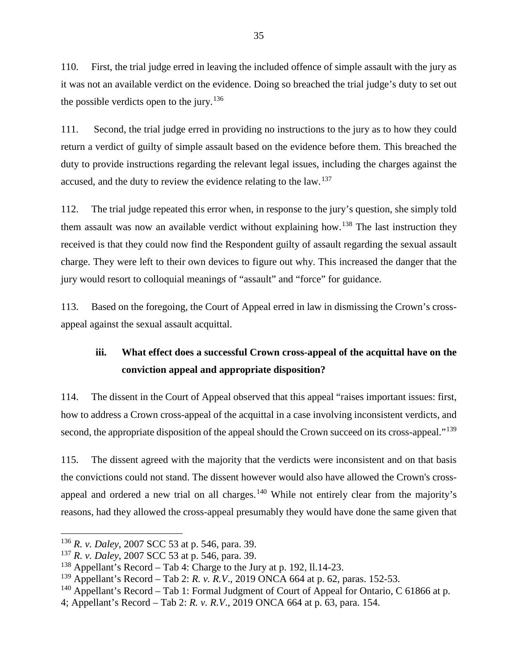110. First, the trial judge erred in leaving the included offence of simple assault with the jury as it was not an available verdict on the evidence. Doing so breached the trial judge's duty to set out the possible verdicts open to the jury.<sup>[136](#page-37-1)</sup>

111. Second, the trial judge erred in providing no instructions to the jury as to how they could return a verdict of guilty of simple assault based on the evidence before them. This breached the duty to provide instructions regarding the relevant legal issues, including the charges against the accused, and the duty to review the evidence relating to the law.<sup>[137](#page-37-2)</sup>

112. The trial judge repeated this error when, in response to the jury's question, she simply told them assault was now an available verdict without explaining how.<sup>[138](#page-37-3)</sup> The last instruction they received is that they could now find the Respondent guilty of assault regarding the sexual assault charge. They were left to their own devices to figure out why. This increased the danger that the jury would resort to colloquial meanings of "assault" and "force" for guidance.

113. Based on the foregoing, the Court of Appeal erred in law in dismissing the Crown's crossappeal against the sexual assault acquittal.

# <span id="page-37-0"></span>**iii. What effect does a successful Crown cross-appeal of the acquittal have on the conviction appeal and appropriate disposition?**

114. The dissent in the Court of Appeal observed that this appeal "raises important issues: first, how to address a Crown cross-appeal of the acquittal in a case involving inconsistent verdicts, and second, the appropriate disposition of the appeal should the Crown succeed on its cross-appeal."<sup>[139](#page-37-4)</sup>

115. The dissent agreed with the majority that the verdicts were inconsistent and on that basis the convictions could not stand. The dissent however would also have allowed the Crown's cross-appeal and ordered a new trial on all charges.<sup>[140](#page-37-5)</sup> While not entirely clear from the majority's reasons, had they allowed the cross-appeal presumably they would have done the same given that

<span id="page-37-1"></span><sup>136</sup> *R. v. Daley*, 2007 SCC 53 at p. 546, para. 39.

<span id="page-37-2"></span><sup>137</sup> *R. v. Daley*, 2007 SCC 53 at p. 546, para. 39.

<span id="page-37-3"></span><sup>138</sup> Appellant's Record – Tab 4: Charge to the Jury at p. 192, ll.14-23.

<span id="page-37-4"></span><sup>139</sup> Appellant's Record – Tab 2: *R. v. R.V*., 2019 ONCA 664 at p. 62, paras. 152-53.

<span id="page-37-5"></span><sup>&</sup>lt;sup>140</sup> Appellant's Record – Tab 1: Formal Judgment of Court of Appeal for Ontario, C 61866 at p.

<sup>4;</sup> Appellant's Record – Tab 2: *R. v. R.V*., 2019 ONCA 664 at p. 63, para. 154.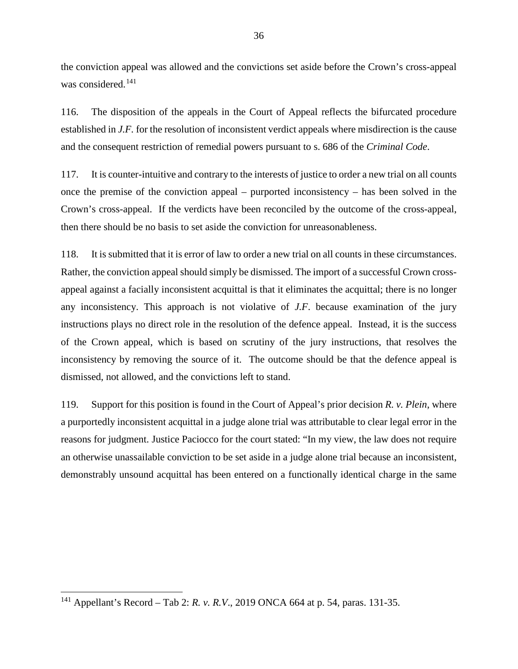the conviction appeal was allowed and the convictions set aside before the Crown's cross-appeal was considered.<sup>[141](#page-38-0)</sup>

116. The disposition of the appeals in the Court of Appeal reflects the bifurcated procedure established in *J.F.* for the resolution of inconsistent verdict appeals where misdirection is the cause and the consequent restriction of remedial powers pursuant to s. 686 of the *Criminal Code*.

117. It is counter-intuitive and contrary to the interests of justice to order a new trial on all counts once the premise of the conviction appeal – purported inconsistency – has been solved in the Crown's cross-appeal. If the verdicts have been reconciled by the outcome of the cross-appeal, then there should be no basis to set aside the conviction for unreasonableness.

118. It is submitted that it is error of law to order a new trial on all counts in these circumstances. Rather, the conviction appeal should simply be dismissed. The import of a successful Crown crossappeal against a facially inconsistent acquittal is that it eliminates the acquittal; there is no longer any inconsistency. This approach is not violative of *J.F*. because examination of the jury instructions plays no direct role in the resolution of the defence appeal. Instead, it is the success of the Crown appeal, which is based on scrutiny of the jury instructions, that resolves the inconsistency by removing the source of it. The outcome should be that the defence appeal is dismissed, not allowed, and the convictions left to stand.

119. Support for this position is found in the Court of Appeal's prior decision *R. v. Plein*, where a purportedly inconsistent acquittal in a judge alone trial was attributable to clear legal error in the reasons for judgment. Justice Paciocco for the court stated: "In my view, the law does not require an otherwise unassailable conviction to be set aside in a judge alone trial because an inconsistent, demonstrably unsound acquittal has been entered on a functionally identical charge in the same

<span id="page-38-0"></span><sup>141</sup> Appellant's Record – Tab 2: *R. v. R.V*., 2019 ONCA 664 at p. 54, paras. 131-35.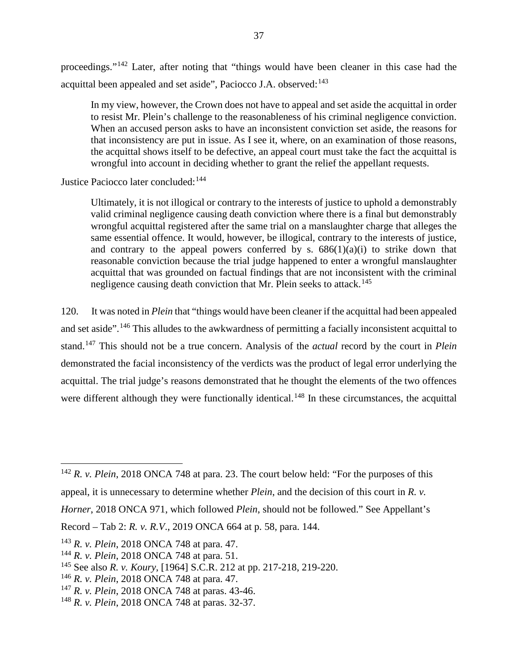proceedings."[142](#page-39-0) Later, after noting that "things would have been cleaner in this case had the acquittal been appealed and set aside", Paciocco J.A. observed: $143$ 

In my view, however, the Crown does not have to appeal and set aside the acquittal in order to resist Mr. Plein's challenge to the reasonableness of his criminal negligence conviction. When an accused person asks to have an inconsistent conviction set aside, the reasons for that inconsistency are put in issue. As I see it, where, on an examination of those reasons, the acquittal shows itself to be defective, an appeal court must take the fact the acquittal is wrongful into account in deciding whether to grant the relief the appellant requests.

Justice Paciocco later concluded: [144](#page-39-2)

Ultimately, it is not illogical or contrary to the interests of justice to uphold a demonstrably valid criminal negligence causing death conviction where there is a final but demonstrably wrongful acquittal registered after the same trial on a manslaughter charge that alleges the same essential offence. It would, however, be illogical, contrary to the interests of justice, and contrary to the appeal powers conferred by s.  $686(1)(a)(i)$  to strike down that reasonable conviction because the trial judge happened to enter a wrongful manslaughter acquittal that was grounded on factual findings that are not inconsistent with the criminal negligence causing death conviction that Mr. Plein seeks to attack.<sup>[145](#page-39-3)</sup>

120. It was noted in *Plein* that "things would have been cleaner if the acquittal had been appealed and set aside".[146](#page-39-4) This alludes to the awkwardness of permitting a facially inconsistent acquittal to stand.[147](#page-39-5) This should not be a true concern. Analysis of the *actual* record by the court in *Plein* demonstrated the facial inconsistency of the verdicts was the product of legal error underlying the acquittal. The trial judge's reasons demonstrated that he thought the elements of the two offences were different although they were functionally identical.<sup>[148](#page-39-6)</sup> In these circumstances, the acquittal

<span id="page-39-0"></span><sup>&</sup>lt;sup>142</sup> *R. v. Plein*, 2018 ONCA 748 at para. 23. The court below held: "For the purposes of this appeal, it is unnecessary to determine whether *Plein*, and the decision of this court in *R. v.* 

*Horner*, 2018 ONCA 971, which followed *Plein*, should not be followed." See Appellant's

Record – Tab 2: *R. v. R.V*., 2019 ONCA 664 at p. 58, para. 144.

<span id="page-39-1"></span><sup>143</sup> *R. v. Plein*, 2018 ONCA 748 at para. 47.

<span id="page-39-2"></span><sup>144</sup> *R. v. Plein*, 2018 ONCA 748 at para. 51.

<span id="page-39-3"></span><sup>145</sup> See also *R. v. Koury*, [1964] S.C.R. 212 at pp. 217-218, 219-220.

<span id="page-39-4"></span><sup>146</sup> *R. v. Plein*, 2018 ONCA 748 at para. 47.

<span id="page-39-5"></span><sup>147</sup> *R. v. Plein*, 2018 ONCA 748 at paras. 43-46.

<span id="page-39-6"></span><sup>148</sup> *R. v. Plein*, 2018 ONCA 748 at paras. 32-37.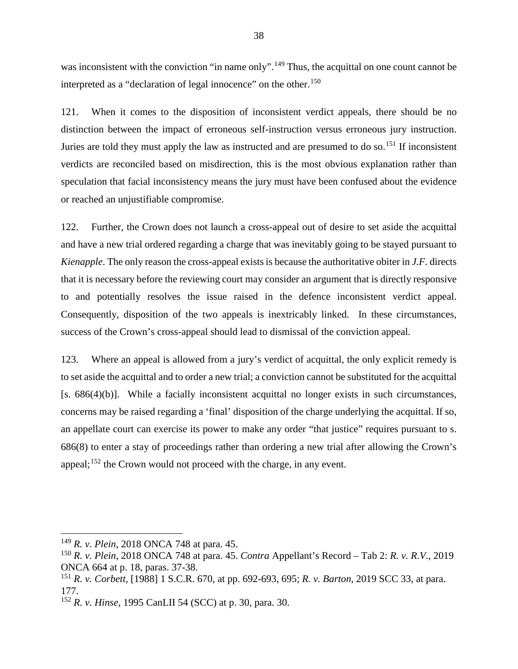was inconsistent with the conviction "in name only".<sup>[149](#page-40-0)</sup> Thus, the acquittal on one count cannot be interpreted as a "declaration of legal innocence" on the other.<sup>[150](#page-40-1)</sup>

121. When it comes to the disposition of inconsistent verdict appeals, there should be no distinction between the impact of erroneous self-instruction versus erroneous jury instruction. Juries are told they must apply the law as instructed and are presumed to do so.<sup>[151](#page-40-2)</sup> If inconsistent verdicts are reconciled based on misdirection, this is the most obvious explanation rather than speculation that facial inconsistency means the jury must have been confused about the evidence or reached an unjustifiable compromise.

122. Further, the Crown does not launch a cross-appeal out of desire to set aside the acquittal and have a new trial ordered regarding a charge that was inevitably going to be stayed pursuant to *Kienapple*. The only reason the cross-appeal exists is because the authoritative obiter in *J.F.* directs that it is necessary before the reviewing court may consider an argument that is directly responsive to and potentially resolves the issue raised in the defence inconsistent verdict appeal. Consequently, disposition of the two appeals is inextricably linked. In these circumstances, success of the Crown's cross-appeal should lead to dismissal of the conviction appeal.

123. Where an appeal is allowed from a jury's verdict of acquittal, the only explicit remedy is to set aside the acquittal and to order a new trial; a conviction cannot be substituted for the acquittal [s. 686(4)(b)]. While a facially inconsistent acquittal no longer exists in such circumstances, concerns may be raised regarding a 'final' disposition of the charge underlying the acquittal. If so, an appellate court can exercise its power to make any order "that justice" requires pursuant to s. 686(8) to enter a stay of proceedings rather than ordering a new trial after allowing the Crown's appeal;<sup>[152](#page-40-3)</sup> the Crown would not proceed with the charge, in any event.

<span id="page-40-0"></span><sup>149</sup> *R. v. Plein*, 2018 ONCA 748 at para. 45.

<span id="page-40-1"></span><sup>150</sup> *R. v. Plein*, 2018 ONCA 748 at para. 45. *Contra* Appellant's Record – Tab 2: *R. v. R.V*., 2019 ONCA 664 at p. 18, paras. 37-38.

<span id="page-40-2"></span><sup>151</sup> *R. v. Corbett*, [1988] 1 S.C.R. 670, at pp. 692-693, 695; *R. v. Barton,* 2019 SCC 33, at para. 177.

<span id="page-40-3"></span><sup>152</sup> *R. v. Hinse*, 1995 CanLII 54 (SCC) at p. 30, para. 30.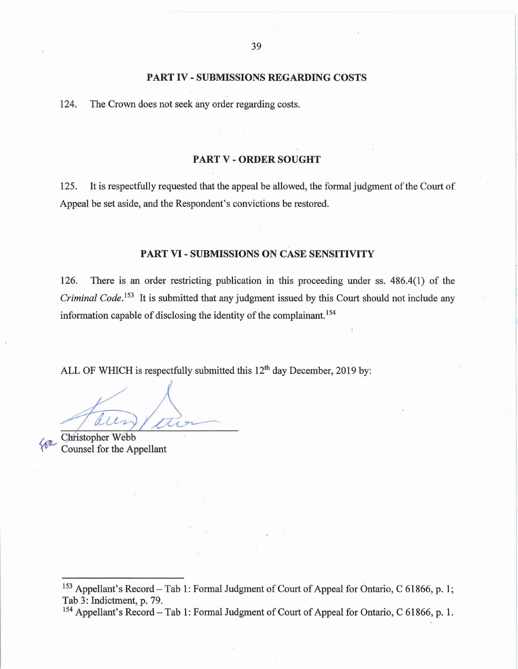#### **PART IV - SUBMISSIONS REGARDING COSTS**

<span id="page-41-0"></span>124. The Crown does not seek any order regarding costs.

#### **PARTV-ORDERSOUGHT**

<span id="page-41-1"></span>125. It is respectfully requested that the appeal be allowed, the formal judgment of the Court of Appeal be set aside, and the Respondent's convictions be restored.

# **PART VI - SUBMISSIONS ON CASE SENSITIVITY**

<span id="page-41-2"></span>126. There i[s a](#page-41-3)n order restricting publication in this proceeding under ss. 486.4(1) of the *Criminal Code.*<sup>153</sup> It [is](#page-41-4) submitted that any judgment issued by this Court should not include any information capable of disclosing the identity of the complainant. <sup>154</sup>

ALL OF WHICH is respectfully submitted this  $12<sup>th</sup>$  day December, 2019 by:

 $\overline{\text{deg}}$ 

**Christopher Webb** Counsel for the Appellant

<span id="page-41-4"></span><span id="page-41-3"></span><sup>153</sup> Appellant's Record – Tab 1: Formal Judgment of Court of Appeal for Ontario, C 61866, p. 1; Tab 3: Indictment, p. 79.<br><sup>154</sup> Appellant's Record – Tab 1: Formal Judgment of Court of Appeal for Ontario, C 61866, p. 1.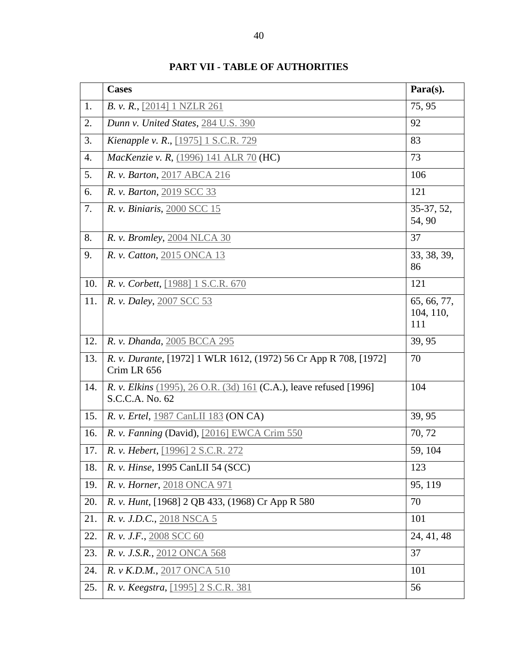<span id="page-42-0"></span>

|                  | <b>Cases</b>                                                                          | Para(s).                        |
|------------------|---------------------------------------------------------------------------------------|---------------------------------|
| 1.               | B. v. R., [2014] 1 NZLR 261                                                           | 75,95                           |
| 2.               | Dunn v. United States, 284 U.S. 390                                                   | 92                              |
| 3.               | Kienapple v. R., [1975] 1 S.C.R. 729                                                  | 83                              |
| $\overline{4}$ . | <i>MacKenzie v. R, (1996) 141 ALR 70 (HC)</i>                                         | 73                              |
| 5.               | R. v. Barton, 2017 ABCA 216                                                           | 106                             |
| 6.               | R. v. Barton, 2019 SCC 33                                                             | 121                             |
| 7.               | R. v. Biniaris, 2000 SCC 15                                                           | 35-37, 52,<br>54, 90            |
| 8.               | R. v. Bromley, 2004 NLCA 30                                                           | 37                              |
| 9.               | R. v. Catton, 2015 ONCA 13                                                            | 33, 38, 39,<br>86               |
| 10.              | R. v. Corbett, [1988] 1 S.C.R. 670                                                    | 121                             |
| 11.              | R. v. Daley, 2007 SCC 53                                                              | 65, 66, 77,<br>104, 110,<br>111 |
| 12.              | R. v. Dhanda, 2005 BCCA 295                                                           | 39, 95                          |
| 13.              | R. v. Durante, [1972] 1 WLR 1612, (1972) 56 Cr App R 708, [1972]<br>Crim LR 656       | 70                              |
| 14.              | R. v. Elkins (1995), 26 O.R. (3d) 161 (C.A.), leave refused [1996]<br>S.C.C.A. No. 62 | 104                             |
| 15.              | R. v. Ertel, 1987 CanLII 183 (ON CA)                                                  | 39, 95                          |
| 16.              | R. v. Fanning (David), [2016] EWCA Crim 550                                           | 70, 72                          |
| 17.              | R. v. Hebert, [1996] 2 S.C.R. 272                                                     | 59, 104                         |
| 18.              | R. v. Hinse, 1995 CanLII 54 (SCC)                                                     | 123                             |
| 19.              | R. v. Horner, 2018 ONCA 971                                                           | 95, 119                         |
| 20.              | R. v. Hunt, [1968] 2 QB 433, (1968) Cr App R 580                                      | 70                              |
| 21.              | R. v. J.D.C., 2018 NSCA 5                                                             | 101                             |
| 22.              | R. v. J.F., 2008 SCC 60                                                               | 24, 41, 48                      |
| 23.              | R. v. J.S.R., 2012 ONCA 568                                                           | 37                              |
| 24.              | R. v K.D.M., 2017 ONCA 510                                                            | 101                             |
| 25.              | R. v. Keegstra, [1995] 2 S.C.R. 381                                                   | 56                              |

**PART VII - TABLE OF AUTHORITIES**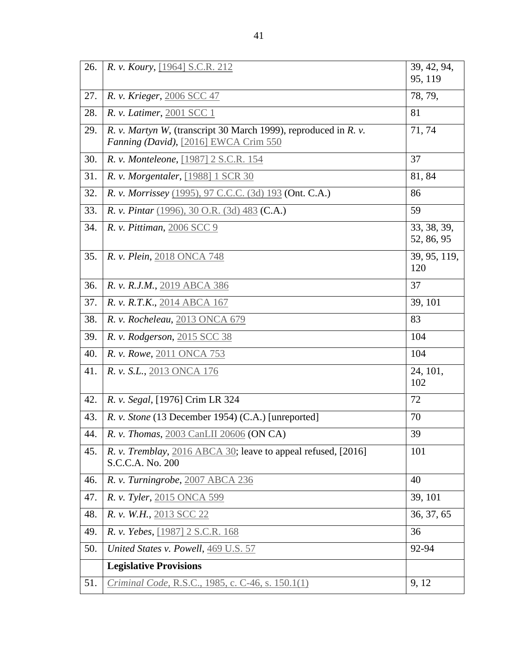| 26. | R. v. Koury, [1964] S.C.R. 212                                                                           | 39, 42, 94,<br>95, 119    |
|-----|----------------------------------------------------------------------------------------------------------|---------------------------|
| 27. | R. v. Krieger, 2006 SCC 47                                                                               | 78, 79,                   |
| 28. | R. v. Latimer, 2001 SCC 1                                                                                | 81                        |
| 29. | R. v. Martyn W, (transcript 30 March 1999), reproduced in R. v.<br>Fanning (David), [2016] EWCA Crim 550 | 71, 74                    |
| 30. | R. v. Monteleone, [1987] 2 S.C.R. 154                                                                    | 37                        |
| 31. | R. v. Morgentaler, [1988] 1 SCR 30                                                                       | 81, 84                    |
| 32. | R. v. Morrissey (1995), 97 C.C.C. (3d) 193 (Ont. C.A.)                                                   | 86                        |
| 33. | R. v. Pintar (1996), 30 O.R. (3d) 483 (C.A.)                                                             | 59                        |
| 34. | R. v. Pittiman, 2006 SCC 9                                                                               | 33, 38, 39,<br>52, 86, 95 |
| 35. | R. v. Plein, 2018 ONCA 748                                                                               | 39, 95, 119,<br>120       |
| 36. | R. v. R.J.M., 2019 ABCA 386                                                                              | 37                        |
| 37. | R. v. R.T.K., 2014 ABCA 167                                                                              | 39, 101                   |
| 38. | R. v. Rocheleau, 2013 ONCA 679                                                                           | 83                        |
| 39. | R. v. Rodgerson, 2015 SCC 38                                                                             | 104                       |
| 40. | R. v. Rowe, 2011 ONCA 753                                                                                | 104                       |
| 41. | R. v. S.L., 2013 ONCA 176                                                                                | 24, 101,<br>102           |
| 42. | R. v. Segal, [1976] Crim LR 324                                                                          | 72                        |
| 43. | R. v. Stone (13 December 1954) (C.A.) [unreported]                                                       | 70                        |
| 44. | R. v. Thomas, 2003 CanLII 20606 (ON CA)                                                                  | 39                        |
| 45. | R. v. Tremblay, 2016 ABCA 30; leave to appeal refused, [2016]<br>S.C.C.A. No. 200                        | 101                       |
| 46. | R. v. Turningrobe, 2007 ABCA 236                                                                         | 40                        |
| 47. | R. v. Tyler, 2015 ONCA 599                                                                               | 39, 101                   |
| 48. | R. v. W.H., 2013 SCC 22                                                                                  | 36, 37, 65                |
| 49. | R. v. Yebes, [1987] 2 S.C.R. 168                                                                         | 36                        |
| 50. | United States v. Powell, 469 U.S. 57                                                                     | 92-94                     |
|     | <b>Legislative Provisions</b>                                                                            |                           |
| 51. | Criminal Code, R.S.C., 1985, c. C-46, s. 150.1(1)                                                        | 9, 12                     |